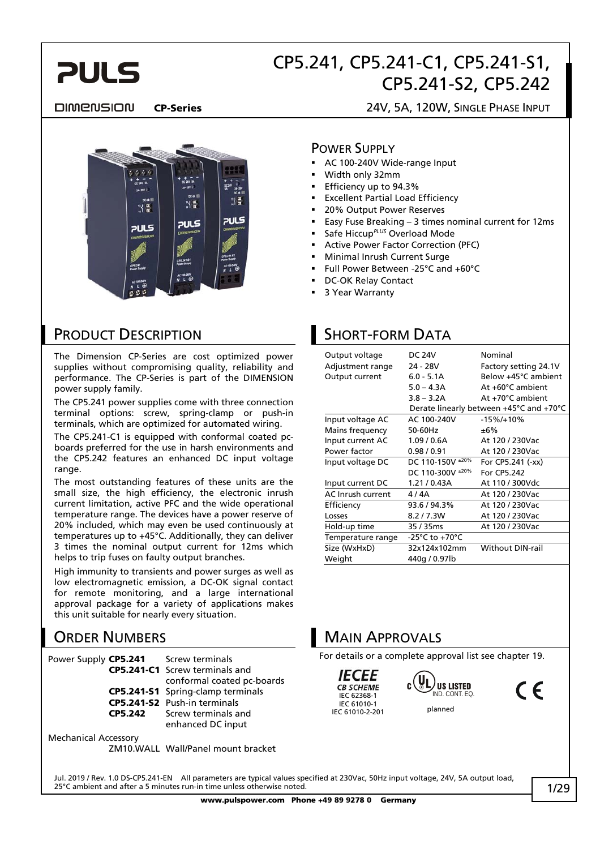

#### **DIMENSION**

#### CP-Series 24V, 5A, 120W, SINGLE PHASE INPUT



### PRODUCT DESCRIPTION

The Dimension CP-Series are cost optimized power supplies without compromising quality, reliability and performance. The CP-Series is part of the DIMENSION power supply family.

The CP5.241 power supplies come with three connection terminal options: screw, spring-clamp or push-in terminals, which are optimized for automated wiring.

The CP5.241-C1 is equipped with conformal coated pcboards preferred for the use in harsh environments and the CP5.242 features an enhanced DC input voltage range.

The most outstanding features of these units are the small size, the high efficiency, the electronic inrush current limitation, active PFC and the wide operational temperature range. The devices have a power reserve of 20% included, which may even be used continuously at temperatures up to +45°C. Additionally, they can deliver 3 times the nominal output current for 12ms which helps to trip fuses on faulty output branches.

High immunity to transients and power surges as well as low electromagnetic emission, a DC-OK signal contact for remote monitoring, and a large international approval package for a variety of applications makes this unit suitable for nearly every situation.

### ORDER NUMBERS

Power Supply CP5.241 Screw terminals

CP5.241-C1 Screw terminals and conformal coated pc-boards

- CP5.241-S1 Spring-clamp terminals
- CP5.241-S2 Push-in terminals
- CP5.242 Screw terminals and enhanced DC input

Mechanical Accessory

ZM10.WALL Wall/Panel mount bracket

#### POWER SUPPLY

- AC 100-240V Wide-range Input
- Width only 32mm
- Efficiency up to 94.3%
- Excellent Partial Load Efficiency
- 20% Output Power Reserves
- Easy Fuse Breaking 3 times nominal current for 12ms
- Safe Hiccup*PLUS* Overload Mode
- Active Power Factor Correction (PFC)
- Minimal Inrush Current Surge
- Full Power Between -25°C and +60°C
- DC-OK Relay Contact
- 3 Year Warranty

# SHORT-FORM DATA

| Output voltage<br>Adjustment range<br>Output current | DC 24V<br>24 - 28V<br>$6.0 - 5.1A$<br>$5.0 - 4.3A$<br>$3.8 - 3.2A$ | Nominal<br>Factory setting 24.1V<br>Below +45°C ambient<br>At +60°C ambient<br>At +70°C ambient<br>Derate linearly between +45°C and +70°C |
|------------------------------------------------------|--------------------------------------------------------------------|--------------------------------------------------------------------------------------------------------------------------------------------|
| Input voltage AC                                     | AC 100-240V                                                        | $-15\%/+10\%$                                                                                                                              |
| Mains frequency                                      | 50-60Hz                                                            | ±6%                                                                                                                                        |
| Input current AC                                     | 1.09/0.6A                                                          | At 120 / 230Vac                                                                                                                            |
| Power factor                                         | 0.98/0.91                                                          | At 120 / 230Vac                                                                                                                            |
| Input voltage DC                                     | DC 110-150V ±20%                                                   | For CP5.241 (-xx)                                                                                                                          |
|                                                      | DC 110-300V ±20%                                                   | For CP5.242                                                                                                                                |
| Input current DC                                     | 1.21 / 0.43A                                                       | At 110 / 300Vdc                                                                                                                            |
| AC Inrush current                                    | 4 / 4A                                                             | At 120 / 230Vac                                                                                                                            |
| Efficiency                                           | 93.6 / 94.3%                                                       | At 120 / 230 Vac                                                                                                                           |
| Losses                                               | 8.2 / 7.3W                                                         | At 120 / 230Vac                                                                                                                            |
| Hold-up time                                         | 35 / 35ms                                                          | At 120 / 230Vac                                                                                                                            |
| Temperature range                                    | -25°C to +70°C                                                     |                                                                                                                                            |
| Size (WxHxD)                                         | 32x124x102mm                                                       | <b>Without DIN-rail</b>                                                                                                                    |
| Weight                                               | 440g / 0.97lb                                                      |                                                                                                                                            |

### MAIN APPROVALS

For details or a complete approval list see chapter 19.

*IECEE* **CB SCHEME** IEC 62368-1 IEC 61010-1 IEC 61010-2-201



 $\epsilon$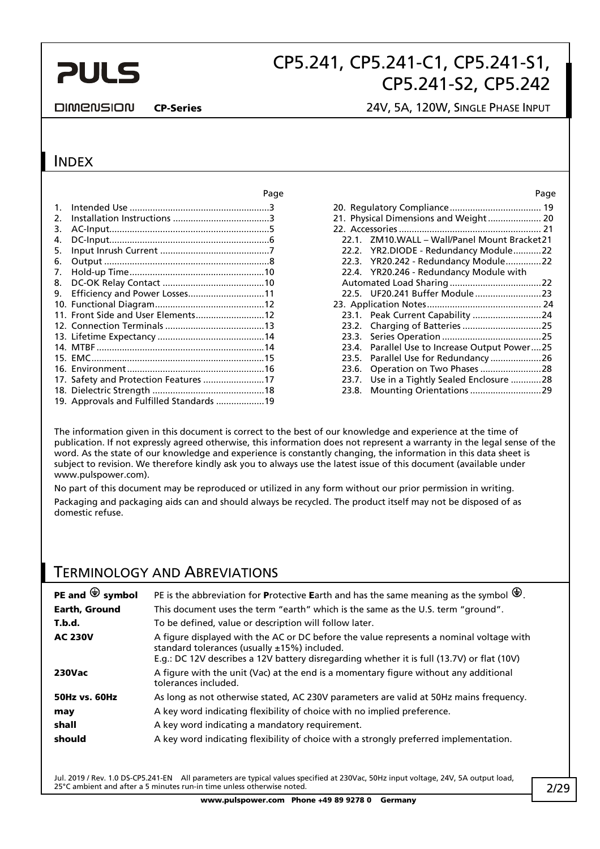# **PULS**

# CP5.241, CP5.241-C1, CP5.241-S1, CP5.241-S2, CP5.242

#### **DIMENSION**

#### CP-Series 24V, 5A, 120W, SINGLE PHASE INPUT

### INDEX

|         |                                          | Page |       |                                            | Page |
|---------|------------------------------------------|------|-------|--------------------------------------------|------|
| $1_{-}$ |                                          |      |       |                                            |      |
| 2.      |                                          |      |       | 21. Physical Dimensions and Weight 20      |      |
| 3.      |                                          |      |       |                                            |      |
| 4.      |                                          |      | 22.1  | ZM10.WALL - Wall/Panel Mount Bracket21     |      |
| 5.      |                                          |      |       | 22.2. YR2.DIODE - Redundancy Module22      |      |
| 6.      |                                          |      |       | 22.3. YR20.242 - Redundancy Module22       |      |
| 7.      |                                          |      |       | 22.4. YR20.246 - Redundancy Module with    |      |
| 8.      |                                          |      |       |                                            |      |
|         | 9. Efficiency and Power Losses11         |      |       |                                            |      |
|         |                                          |      |       |                                            |      |
|         | 11. Front Side and User Elements12       |      |       | 23.1. Peak Current Capability 24           |      |
|         |                                          |      |       |                                            |      |
|         |                                          |      | 23.3. |                                            |      |
|         |                                          |      | 23.4. | Parallel Use to Increase Output Power25    |      |
|         |                                          |      | 23.5. | Parallel Use for Redundancy 26             |      |
|         |                                          |      | 23.6. | Operation on Two Phases 28                 |      |
|         |                                          |      |       | 23.7. Use in a Tightly Sealed Enclosure 28 |      |
|         |                                          |      |       |                                            |      |
|         | 19. Approvals and Fulfilled Standards 19 |      |       |                                            |      |

|       | 21. Physical Dimensions and Weight 20   |  |
|-------|-----------------------------------------|--|
|       |                                         |  |
| 22.1  | ZM10.WALL - Wall/Panel Mount Bracket21  |  |
|       | 22.2. YR2.DIODE - Redundancy Module22   |  |
|       | 22.3. YR20.242 - Redundancy Module22    |  |
|       | 22.4. YR20.246 - Redundancy Module with |  |
|       |                                         |  |
|       |                                         |  |
|       |                                         |  |
|       | 23.1. Peak Current Capability 24        |  |
|       |                                         |  |
|       |                                         |  |
| 23.4. | Parallel Use to Increase Output Power25 |  |
| 23.5. | Parallel Use for Redundancy26           |  |
| 23.6. | Operation on Two Phases 28              |  |
| 23.7. | Use in a Tightly Sealed Enclosure 28    |  |
| 23.8. |                                         |  |

The information given in this document is correct to the best of our knowledge and experience at the time of publication. If not expressly agreed otherwise, this information does not represent a warranty in the legal sense of the word. As the state of our knowledge and experience is constantly changing, the information in this data sheet is subject to revision. We therefore kindly ask you to always use the latest issue of this document (available under www.pulspower.com).

No part of this document may be reproduced or utilized in any form without our prior permission in writing. Packaging and packaging aids can and should always be recycled. The product itself may not be disposed of as domestic refuse.

### TERMINOLOGY AND ABREVIATIONS

| PE and $\bigcirc$ symbol | PE is the abbreviation for Protective Earth and has the same meaning as the symbol $\bigcirc$ .                                                                                                                                       |
|--------------------------|---------------------------------------------------------------------------------------------------------------------------------------------------------------------------------------------------------------------------------------|
| Earth, Ground            | This document uses the term "earth" which is the same as the U.S. term "ground".                                                                                                                                                      |
| T.b.d.                   | To be defined, value or description will follow later.                                                                                                                                                                                |
| <b>AC 230V</b>           | A figure displayed with the AC or DC before the value represents a nominal voltage with<br>standard tolerances (usually ±15%) included.<br>E.g.: DC 12V describes a 12V battery disregarding whether it is full (13.7V) or flat (10V) |
| <b>230Vac</b>            | A figure with the unit (Vac) at the end is a momentary figure without any additional<br>tolerances included.                                                                                                                          |
| <b>50Hz vs. 60Hz</b>     | As long as not otherwise stated, AC 230V parameters are valid at 50Hz mains frequency.                                                                                                                                                |
| may                      | A key word indicating flexibility of choice with no implied preference.                                                                                                                                                               |
| shall                    | A key word indicating a mandatory requirement.                                                                                                                                                                                        |
| should                   | A key word indicating flexibility of choice with a strongly preferred implementation.                                                                                                                                                 |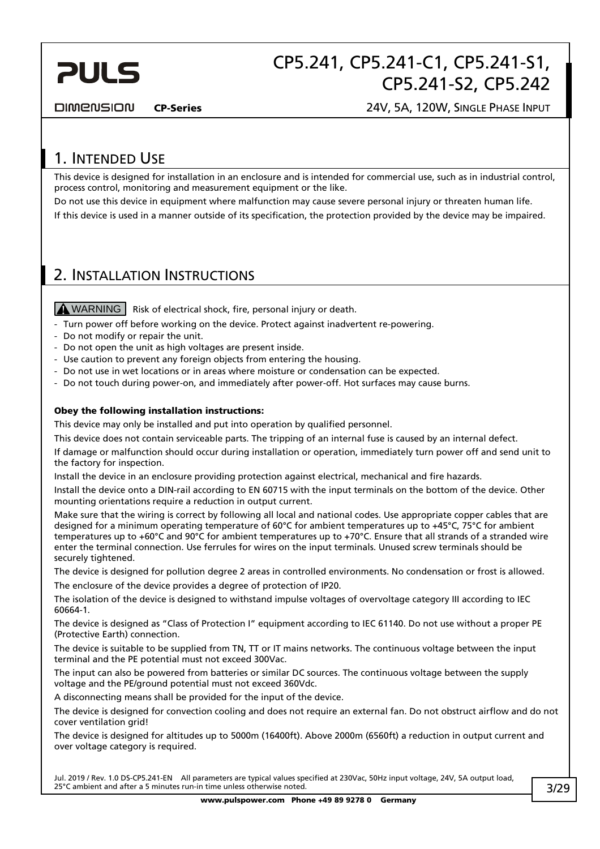

**DIMENSION** 

CP-Series 24V, 5A, 120W, SINGLE PHASE INPUT

### 1. INTENDED USE

This device is designed for installation in an enclosure and is intended for commercial use, such as in industrial control, process control, monitoring and measurement equipment or the like.

Do not use this device in equipment where malfunction may cause severe personal injury or threaten human life. If this device is used in a manner outside of its specification, the protection provided by the device may be impaired.

### 2. INSTALLATION INSTRUCTIONS

 $M$  WARNING  $\vert$  Risk of electrical shock, fire, personal injury or death.

- Turn power off before working on the device. Protect against inadvertent re-powering.
- Do not modify or repair the unit.
- Do not open the unit as high voltages are present inside.
- Use caution to prevent any foreign objects from entering the housing.
- Do not use in wet locations or in areas where moisture or condensation can be expected.
- Do not touch during power-on, and immediately after power-off. Hot surfaces may cause burns.

#### Obey the following installation instructions:

This device may only be installed and put into operation by qualified personnel.

This device does not contain serviceable parts. The tripping of an internal fuse is caused by an internal defect.

If damage or malfunction should occur during installation or operation, immediately turn power off and send unit to the factory for inspection.

Install the device in an enclosure providing protection against electrical, mechanical and fire hazards.

Install the device onto a DIN-rail according to EN 60715 with the input terminals on the bottom of the device. Other mounting orientations require a reduction in output current.

Make sure that the wiring is correct by following all local and national codes. Use appropriate copper cables that are designed for a minimum operating temperature of 60°C for ambient temperatures up to +45°C, 75°C for ambient temperatures up to +60°C and 90°C for ambient temperatures up to +70°C. Ensure that all strands of a stranded wire enter the terminal connection. Use ferrules for wires on the input terminals. Unused screw terminals should be securely tightened.

The device is designed for pollution degree 2 areas in controlled environments. No condensation or frost is allowed.

The enclosure of the device provides a degree of protection of IP20.

The isolation of the device is designed to withstand impulse voltages of overvoltage category III according to IEC 60664-1.

The device is designed as "Class of Protection I" equipment according to IEC 61140. Do not use without a proper PE (Protective Earth) connection.

The device is suitable to be supplied from TN, TT or IT mains networks. The continuous voltage between the input terminal and the PE potential must not exceed 300Vac.

The input can also be powered from batteries or similar DC sources. The continuous voltage between the supply voltage and the PE/ground potential must not exceed 360Vdc.

A disconnecting means shall be provided for the input of the device.

The device is designed for convection cooling and does not require an external fan. Do not obstruct airflow and do not cover ventilation grid!

The device is designed for altitudes up to 5000m (16400ft). Above 2000m (6560ft) a reduction in output current and over voltage category is required.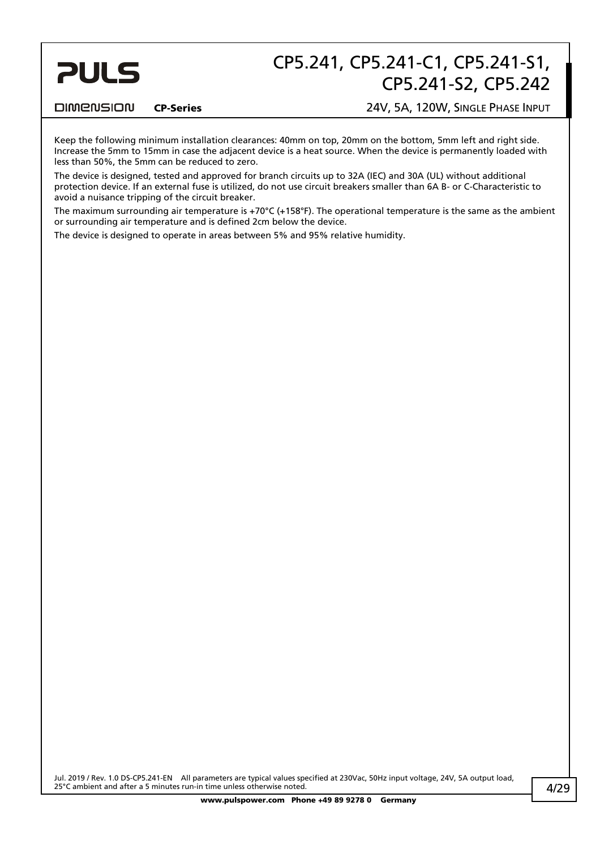# **PULS**

# CP5.241, CP5.241-C1, CP5.241-S1, CP5.241-S2, CP5.242

#### **DIMENSION**

#### CP-Series 24V, 5A, 120W, SINGLE PHASE INPUT

Keep the following minimum installation clearances: 40mm on top, 20mm on the bottom, 5mm left and right side. Increase the 5mm to 15mm in case the adjacent device is a heat source. When the device is permanently loaded with less than 50%, the 5mm can be reduced to zero.

The device is designed, tested and approved for branch circuits up to 32A (IEC) and 30A (UL) without additional protection device. If an external fuse is utilized, do not use circuit breakers smaller than 6A B- or C-Characteristic to avoid a nuisance tripping of the circuit breaker.

The maximum surrounding air temperature is +70°C (+158°F). The operational temperature is the same as the ambient or surrounding air temperature and is defined 2cm below the device.

The device is designed to operate in areas between 5% and 95% relative humidity.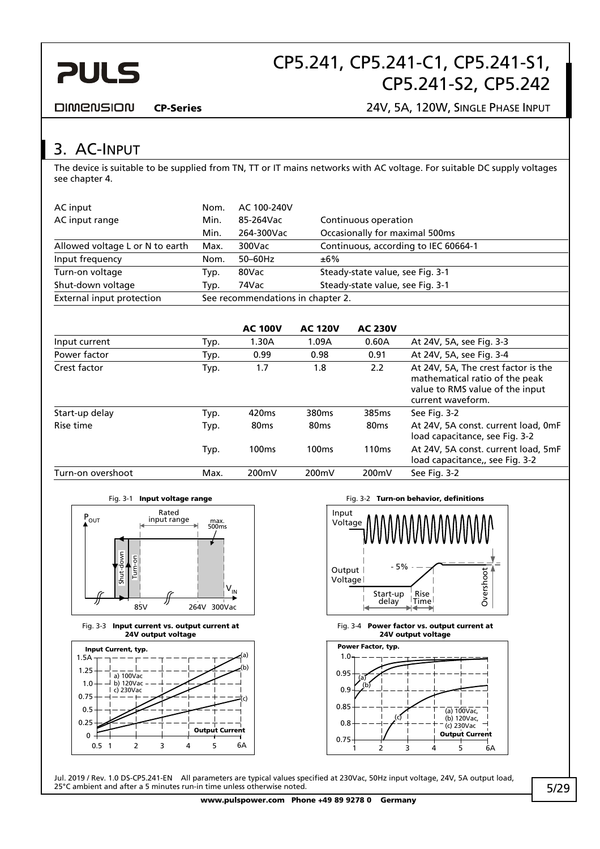

#### **DIMENSION**

CP-Series 24V, 5A, 120W, SINGLE PHASE INPUT

## 3. AC-INPUT

The device is suitable to be supplied from TN, TT or IT mains networks with AC voltage. For suitable DC supply voltages see chapter 4.

| AC input                        | Nom.                              | AC 100-240V                       |                                      |
|---------------------------------|-----------------------------------|-----------------------------------|--------------------------------------|
| AC input range                  | Min.                              | 85-264Vac<br>Continuous operation |                                      |
|                                 | Min.                              | 264-300Vac                        | Occasionally for maximal 500ms       |
| Allowed voltage L or N to earth | Max.                              | 300Vac                            | Continuous, according to IEC 60664-1 |
| Input frequency                 | Nom.                              | $50-60$ Hz                        | ±6%                                  |
| Turn-on voltage                 | Typ.                              | 80Vac                             | Steady-state value, see Fig. 3-1     |
| Shut-down voltage               | Typ.                              | 74Vac                             | Steady-state value, see Fig. 3-1     |
| External input protection       | See recommendations in chapter 2. |                                   |                                      |

|                   |      | <b>AC 100V</b>    | <b>AC 120V</b>    | <b>AC 230V</b>    |                                                                                                                               |
|-------------------|------|-------------------|-------------------|-------------------|-------------------------------------------------------------------------------------------------------------------------------|
| Input current     | Typ. | 1.30A             | 1.09A             | 0.60A             | At 24V, 5A, see Fig. 3-3                                                                                                      |
| Power factor      | Typ. | 0.99              | 0.98              | 0.91              | At 24V, 5A, see Fig. 3-4                                                                                                      |
| Crest factor      | Typ. | 1.7               | 1.8               | 2.2               | At 24V, 5A, The crest factor is the<br>mathematical ratio of the peak<br>value to RMS value of the input<br>current waveform. |
| Start-up delay    | Typ. | 420 <sub>ms</sub> | 380 <sub>ms</sub> | 385 <sub>ms</sub> | See Fig. 3-2                                                                                                                  |
| Rise time         | Typ. | 80 <sub>ms</sub>  | 80 <sub>ms</sub>  | 80 <sub>ms</sub>  | At 24V, 5A const. current load, 0mF<br>load capacitance, see Fig. 3-2                                                         |
|                   | Typ. | 100 <sub>ms</sub> | 100 <sub>ms</sub> | 110 <sub>ms</sub> | At 24V, 5A const. current load, 5mF<br>load capacitance,, see Fig. 3-2                                                        |
| Turn-on overshoot | Max. | 200mV             | 200mV             | 200mV             | See Fig. 3-2                                                                                                                  |



Fig. 3-3 Input current vs. output current at 24V output voltage



Fig. 3-1 Input voltage range Fig. 3-2 Turn-on behavior, definitions



Fig. 3-4 Power factor vs. output current at 24V output voltage

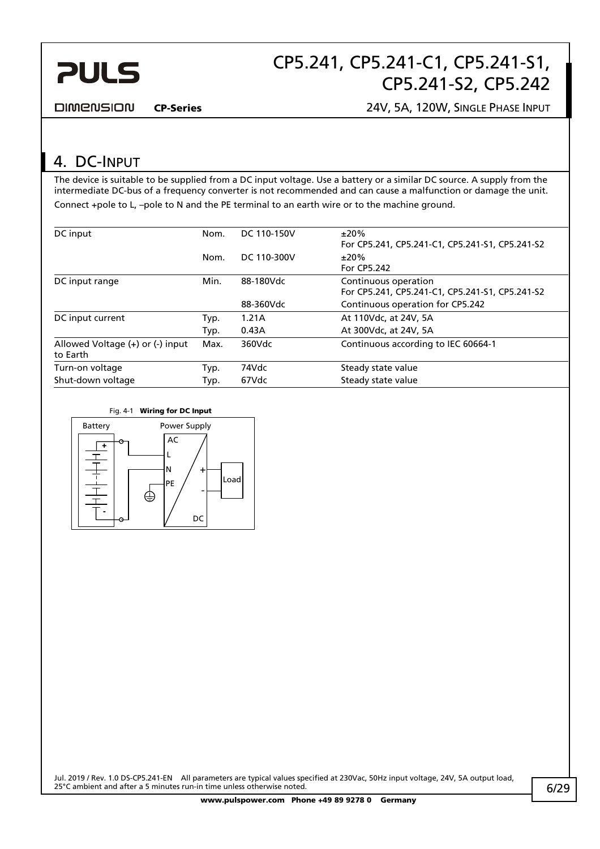

#### DIMENSION

CP-Series 24V, 5A, 120W, SINGLE PHASE INPUT

### 4. DC-INPUT

The device is suitable to be supplied from a DC input voltage. Use a battery or a similar DC source. A supply from the intermediate DC-bus of a frequency converter is not recommended and can cause a malfunction or damage the unit. Connect +pole to L, –pole to N and the PE terminal to an earth wire or to the machine ground.

| DC input                                             | Nom. | DC 110-150V | ±20%<br>For CP5.241, CP5.241-C1, CP5.241-S1, CP5.241-S2                 |
|------------------------------------------------------|------|-------------|-------------------------------------------------------------------------|
|                                                      | Nom. | DC 110-300V | $±20\%$<br>For CP5.242                                                  |
| DC input range                                       | Min. | 88-180Vdc   | Continuous operation<br>For CP5.241, CP5.241-C1, CP5.241-S1, CP5.241-S2 |
|                                                      |      | 88-360Vdc   | Continuous operation for CP5.242                                        |
| DC input current                                     | Typ. | 1.21A       | At 110Vdc, at 24V, 5A                                                   |
|                                                      | Typ. | 0.43A       | At 300Vdc, at 24V, 5A                                                   |
| Allowed Voltage $(+)$ or $($ - $)$ input<br>to Earth | Max. | 360Vdc      | Continuous according to IEC 60664-1                                     |
| Turn-on voltage                                      | Typ. | 74Vdc       | Steady state value                                                      |
| Shut-down voltage                                    | Typ. | 67Vdc       | Steady state value                                                      |
|                                                      |      |             |                                                                         |

Fig. 4-1 Wiring for DC Input

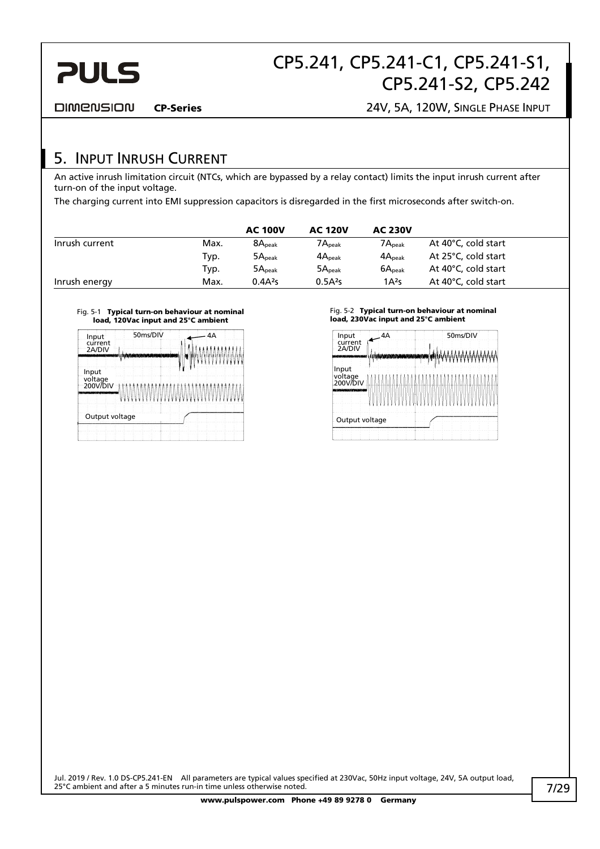

**DIMENSION** 

CP-Series 24V, 5A, 120W, SINGLE PHASE INPUT

### 5. INPUT INRUSH CURRENT

An active inrush limitation circuit (NTCs, which are bypassed by a relay contact) limits the input inrush current after turn-on of the input voltage.

The charging current into EMI suppression capacitors is disregarded in the first microseconds after switch-on.

|                |      | <b>AC 100V</b>      | <b>AC 120V</b>        | <b>AC 230V</b>     |                     |
|----------------|------|---------------------|-----------------------|--------------------|---------------------|
| Inrush current | Max. | 8A <sub>peak</sub>  | $7{\sf A}_{\sf peak}$ | $7A_{\rm peak}$    | At 40°C, cold start |
|                | Typ. | 5A <sub>peak</sub>  | $4A_{\text{peak}}$    | $4A_{\text{peak}}$ | At 25°C, cold start |
|                | Typ. | 5A <sub>peak</sub>  | 5A <sub>peak</sub>    | 6A <sub>peak</sub> | At 40°C, cold start |
| Inrush energy  | Max. | 0.4A <sup>2</sup> S | 0.5A <sup>2</sup> S   | 1A <sup>2</sup> S  | At 40°C, cold start |

#### Fig. 5-1 Typical turn-on behaviour at nominal load, 120Vac input and 25°C ambient



#### Fig. 5-2 Typical turn-on behaviour at nominal load, 230Vac input and 25°C ambient

| <b>SHIP ALL REPORTS</b><br>Input<br>voltage |
|---------------------------------------------|
|                                             |
| 200V/DIV<br>والمشمولين فاشتمشوها بي         |
| Output voltage                              |
|                                             |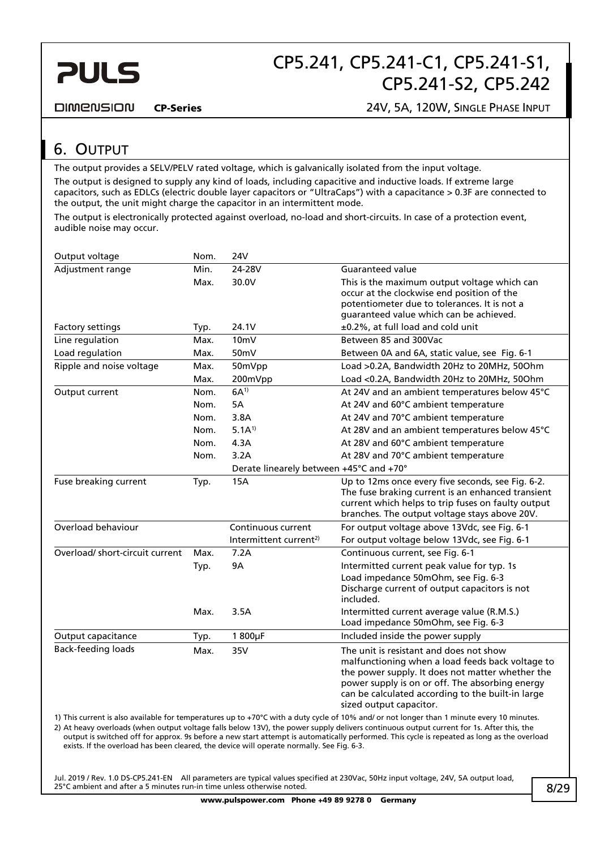

#### **DIMENSION**

CP-Series 24V, 5A, 120W, SINGLE PHASE INPUT

### 6. OUTPUT

The output provides a SELV/PELV rated voltage, which is galvanically isolated from the input voltage.

The output is designed to supply any kind of loads, including capacitive and inductive loads. If extreme large capacitors, such as EDLCs (electric double layer capacitors or "UltraCaps") with a capacitance > 0.3F are connected to the output, the unit might charge the capacitor in an intermittent mode.

The output is electronically protected against overload, no-load and short-circuits. In case of a protection event, audible noise may occur.

| Output voltage                  | Nom. | <b>24V</b>                              |                                                                                                                                                                                                                                                                                    |
|---------------------------------|------|-----------------------------------------|------------------------------------------------------------------------------------------------------------------------------------------------------------------------------------------------------------------------------------------------------------------------------------|
| Adjustment range                | Min. | 24-28V                                  | <b>Guaranteed value</b>                                                                                                                                                                                                                                                            |
|                                 | Max. | 30.0V                                   | This is the maximum output voltage which can<br>occur at the clockwise end position of the<br>potentiometer due to tolerances. It is not a<br>guaranteed value which can be achieved.                                                                                              |
| Factory settings                | Typ. | 24.1V                                   | ±0.2%, at full load and cold unit                                                                                                                                                                                                                                                  |
| Line regulation                 | Max. | 10 <sub>mV</sub>                        | Between 85 and 300Vac                                                                                                                                                                                                                                                              |
| Load regulation                 | Max. | 50mV                                    | Between 0A and 6A, static value, see Fig. 6-1                                                                                                                                                                                                                                      |
| Ripple and noise voltage        | Max. | 50mVpp                                  | Load >0.2A, Bandwidth 20Hz to 20MHz, 50Ohm                                                                                                                                                                                                                                         |
|                                 | Max. | 200mVpp                                 | Load <0.2A, Bandwidth 20Hz to 20MHz, 50Ohm                                                                                                                                                                                                                                         |
| Output current                  | Nom. | $6A^{1}$                                | At 24V and an ambient temperatures below 45°C                                                                                                                                                                                                                                      |
|                                 | Nom. | 5A                                      | At 24V and 60°C ambient temperature                                                                                                                                                                                                                                                |
|                                 | Nom. | 3.8A                                    | At 24V and 70°C ambient temperature                                                                                                                                                                                                                                                |
|                                 | Nom. | $5.1A^{1}$                              | At 28V and an ambient temperatures below 45°C                                                                                                                                                                                                                                      |
|                                 | Nom. | 4.3A                                    | At 28V and 60°C ambient temperature                                                                                                                                                                                                                                                |
|                                 | Nom. | 3.2A                                    | At 28V and 70°C ambient temperature                                                                                                                                                                                                                                                |
|                                 |      | Derate linearely between +45°C and +70° |                                                                                                                                                                                                                                                                                    |
| Fuse breaking current           | Typ. | <b>15A</b>                              | Up to 12ms once every five seconds, see Fig. 6-2.<br>The fuse braking current is an enhanced transient<br>current which helps to trip fuses on faulty output<br>branches. The output voltage stays above 20V.                                                                      |
| Overload behaviour              |      | Continuous current                      | For output voltage above 13Vdc, see Fig. 6-1                                                                                                                                                                                                                                       |
|                                 |      | Intermittent current <sup>2)</sup>      | For output voltage below 13Vdc, see Fig. 6-1                                                                                                                                                                                                                                       |
| Overload/ short-circuit current | Max. | 7.2A                                    | Continuous current, see Fig. 6-1                                                                                                                                                                                                                                                   |
|                                 | Typ. | <b>9A</b>                               | Intermitted current peak value for typ. 1s<br>Load impedance 50mOhm, see Fig. 6-3<br>Discharge current of output capacitors is not<br>included.                                                                                                                                    |
|                                 | Max. | 3.5A                                    | Intermitted current average value (R.M.S.)<br>Load impedance 50mOhm, see Fig. 6-3                                                                                                                                                                                                  |
| Output capacitance              | Typ. | 1 800µF                                 | Included inside the power supply                                                                                                                                                                                                                                                   |
| <b>Back-feeding loads</b>       | Max. | 35V                                     | The unit is resistant and does not show<br>malfunctioning when a load feeds back voltage to<br>the power supply. It does not matter whether the<br>power supply is on or off. The absorbing energy<br>can be calculated according to the built-in large<br>sized output capacitor. |
|                                 |      |                                         | 1) This current is also available for temperatures un to +70°C with a duty cycle of 10% and/ or not longer than 1 minute eveny 10 minutes                                                                                                                                          |

1) This current is also available for temperatures up to +70°C with a duty cycle of 10% and/ or not longer than 1 minute every 10 minutes. 2) At heavy overloads (when output voltage falls below 13V), the power supply delivers continuous output current for 1s. After this, the output is switched off for approx. 9s before a new start attempt is automatically performed. This cycle is repeated as long as the overload exists. If the overload has been cleared, the device will operate normally. See Fig. 6-3.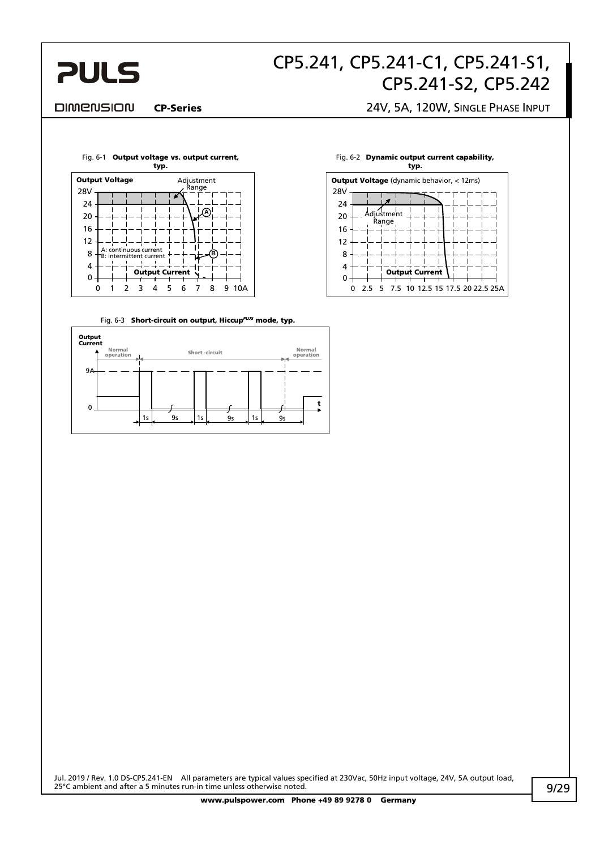

#### **DIMENSION**

#### CP-Series 24V, 5A, 120W, SINGLE PHASE INPUT



Fig. 6-3 Short-circuit on output, Hiccup*PLUS* mode, typ.



#### Fig. 6-2 Dynamic output current capability,

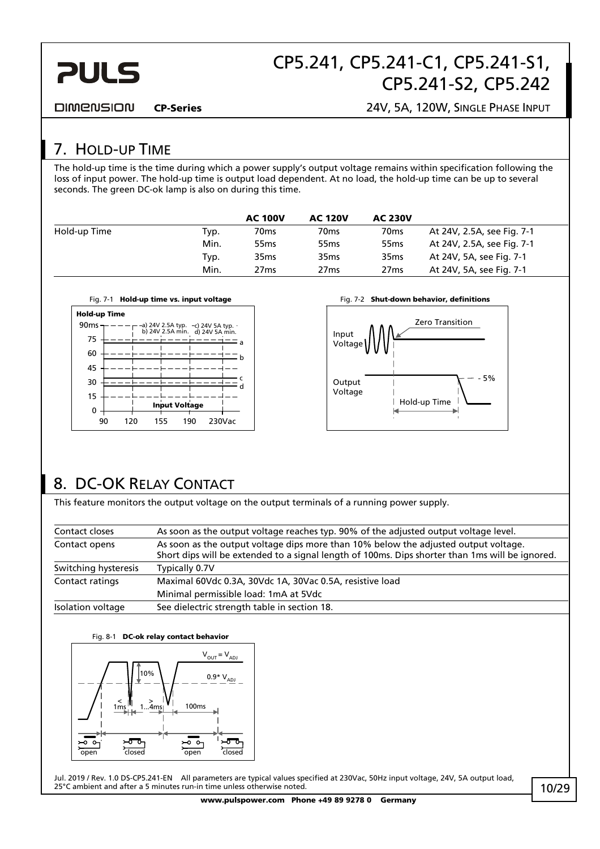

**DIMENSION** 

CP-Series 24V, 5A, 120W, SINGLE PHASE INPUT

## 7. HOLD-UP TIME

The hold-up time is the time during which a power supply's output voltage remains within specification following the loss of input power. The hold-up time is output load dependent. At no load, the hold-up time can be up to several seconds. The green DC-ok lamp is also on during this time.

|              |      | <b>AC 100V</b>   | <b>AC 120V</b>   | <b>AC 230V</b>   |                            |
|--------------|------|------------------|------------------|------------------|----------------------------|
| Hold-up Time | Typ. | 70 <sub>ms</sub> | 70 <sub>ms</sub> | 70 <sub>ms</sub> | At 24V, 2.5A, see Fig. 7-1 |
|              | Min. | 55 <sub>ms</sub> | 55 <sub>ms</sub> | 55 <sub>ms</sub> | At 24V, 2.5A, see Fig. 7-1 |
|              | Typ. | 35 <sub>ms</sub> | 35 <sub>ms</sub> | 35 <sub>ms</sub> | At 24V, 5A, see Fig. 7-1   |
|              | Min. | 27 <sub>ms</sub> | 27 <sub>ms</sub> | 27 <sub>ms</sub> | At 24V, 5A, see Fig. 7-1   |





## 8. DC-OK RELAY CONTACT

This feature monitors the output voltage on the output terminals of a running power supply.

| Contact closes       | As soon as the output voltage reaches typ. 90% of the adjusted output voltage level.                                                                                                   |
|----------------------|----------------------------------------------------------------------------------------------------------------------------------------------------------------------------------------|
| Contact opens        | As soon as the output voltage dips more than 10% below the adjusted output voltage.<br>Short dips will be extended to a signal length of 100ms. Dips shorter than 1ms will be ignored. |
| Switching hysteresis | Typically 0.7V                                                                                                                                                                         |
| Contact ratings      | Maximal 60Vdc 0.3A, 30Vdc 1A, 30Vac 0.5A, resistive load                                                                                                                               |
|                      | Minimal permissible load: 1mA at 5Vdc                                                                                                                                                  |
| Isolation voltage    | See dielectric strength table in section 18.                                                                                                                                           |

#### Fig. 8-1 DC-ok relay contact behavior

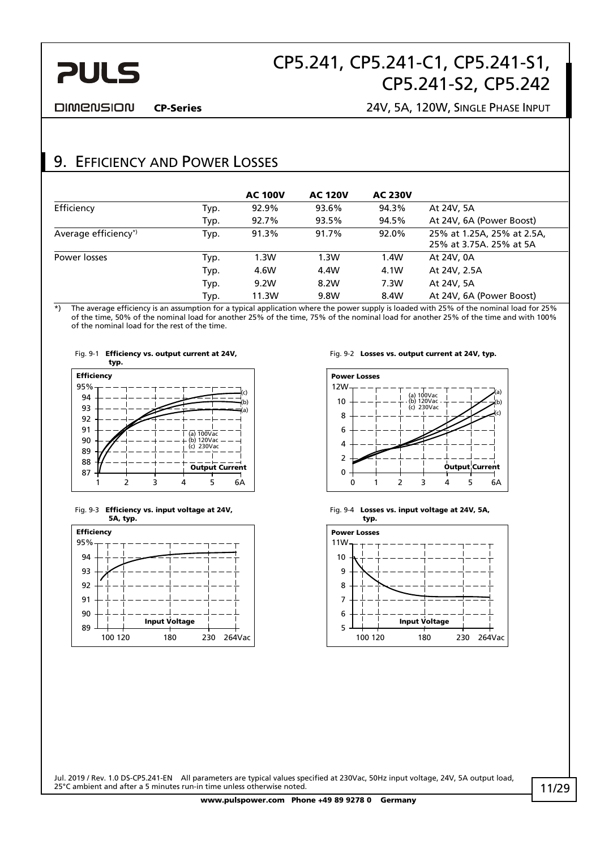# **PULS**

# CP5.241, CP5.241-C1, CP5.241-S1, CP5.241-S2, CP5.242

**DIMENSION** 

#### CP-Series 24V, 5A, 120W, SINGLE PHASE INPUT

### 9. EFFICIENCY AND POWER LOSSES

|                      |      | <b>AC 100V</b> | <b>AC 120V</b> | <b>AC 230V</b> |                                                       |
|----------------------|------|----------------|----------------|----------------|-------------------------------------------------------|
| Efficiency           | Typ. | 92.9%          | 93.6%          | 94.3%          | At 24V, 5A                                            |
|                      | Typ. | 92.7%          | 93.5%          | 94.5%          | At 24V, 6A (Power Boost)                              |
| Average efficiency*) | Typ. | 91.3%          | 91.7%          | 92.0%          | 25% at 1.25A, 25% at 2.5A,<br>25% at 3.75A, 25% at 5A |
| Power losses         | Typ. | 1.3W           | 1.3W           | 1.4W           | At 24V, 0A                                            |
|                      | Typ. | 4.6W           | 4.4W           | 4.1W           | At 24V, 2.5A                                          |
|                      | Typ. | 9.2W           | 8.2W           | 7.3W           | At 24V, 5A                                            |
|                      | Typ. | 11.3W          | 9.8W           | 8.4W           | At 24V, 6A (Power Boost)                              |

\*) The average efficiency is an assumption for a typical application where the power supply is loaded with 25% of the nominal load for 25% of the time, 50% of the nominal load for another 25% of the time, 75% of the nominal load for another 25% of the time and with 100% of the nominal load for the rest of the time.









Fig. 9-2 Losses vs. output current at 24V, typ.



Fig. 9-4 Losses vs. input voltage at 24V, 5A,

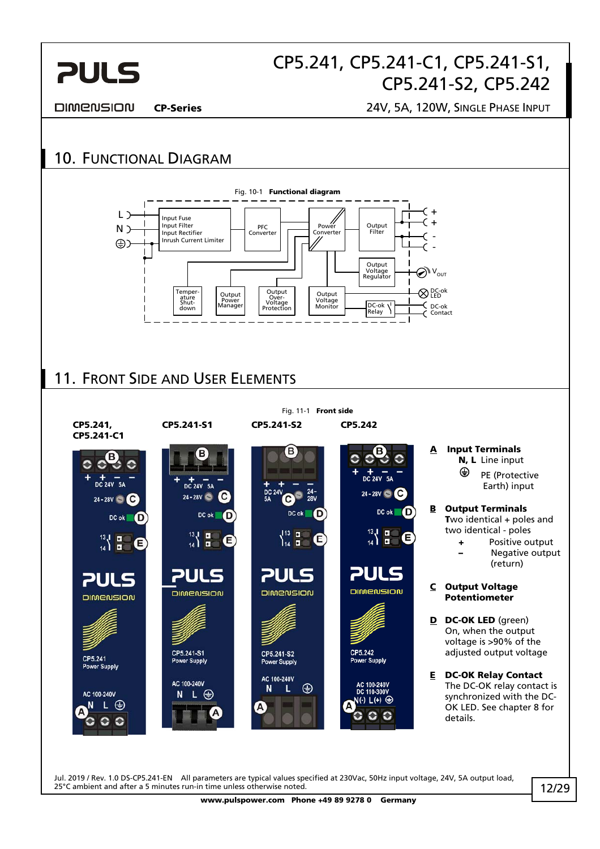

**DIMENSION** 

CP-Series 24V, 5A, 120W, SINGLE PHASE INPUT



25°C ambient and after a 5 minutes run-in time unless otherwise noted. www.pulspower.com Phone +49 89 9278 0 Germany 12/29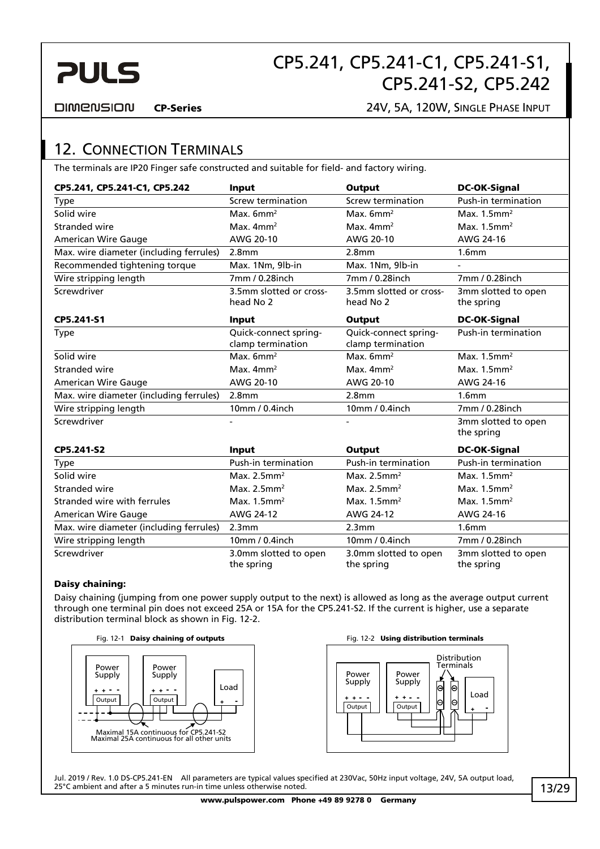

**DIMENSION** 

#### CP-Series 24V, 5A, 120W, SINGLE PHASE INPUT

### 12. CONNECTION TERMINALS

The terminals are IP20 Finger safe constructed and suitable for field- and factory wiring.

| CP5.241, CP5.241-C1, CP5.242            | Input                                      | Output                                     | <b>DC-OK-Signal</b>               |
|-----------------------------------------|--------------------------------------------|--------------------------------------------|-----------------------------------|
| <b>Type</b>                             | Screw termination                          | Screw termination                          | Push-in termination               |
| Solid wire                              | Max. $6mm2$                                | Max. $6mm^2$                               | Max. $1.5$ mm <sup>2</sup>        |
| Stranded wire                           | Max. $4mm2$                                | Max. $4mm2$                                | Max. $1.5$ mm <sup>2</sup>        |
| <b>American Wire Gauge</b>              | AWG 20-10                                  | AWG 20-10                                  | AWG 24-16                         |
| Max. wire diameter (including ferrules) | 2.8 <sub>mm</sub>                          | 2.8 <sub>mm</sub>                          | 1.6 <sub>mm</sub>                 |
| Recommended tightening torque           | Max. 1Nm, 9lb-in                           | Max. 1Nm, 9lb-in                           |                                   |
| Wire stripping length                   | 7mm / 0.28inch                             | 7mm / 0.28inch                             | 7mm / 0.28inch                    |
| Screwdriver                             | 3.5mm slotted or cross-<br>head No 2       | 3.5mm slotted or cross-<br>head No 2       | 3mm slotted to open<br>the spring |
| CP5.241-S1                              | Input                                      | Output                                     | <b>DC-OK-Signal</b>               |
| <b>Type</b>                             | Quick-connect spring-<br>clamp termination | Quick-connect spring-<br>clamp termination | Push-in termination               |
| Solid wire                              | Max. $6mm2$                                | Max. $6mm2$                                | Max. $1.5$ mm <sup>2</sup>        |
| Stranded wire                           | Max. $4mm2$                                | Max. $4mm2$                                | Max. $1.5$ mm <sup>2</sup>        |
| <b>American Wire Gauge</b>              | AWG 20-10                                  | AWG 20-10                                  | AWG 24-16                         |
| Max. wire diameter (including ferrules) | 2.8 <sub>mm</sub>                          | 2.8 <sub>mm</sub>                          | 1.6 <sub>mm</sub>                 |
| Wire stripping length                   | 10mm / 0.4inch                             | 10mm / 0.4inch                             | 7mm / 0.28inch                    |
| Screwdriver                             |                                            |                                            | 3mm slotted to open<br>the spring |
| CP5.241-S2                              | Input                                      | Output                                     | <b>DC-OK-Signal</b>               |
| Type                                    | Push-in termination                        | Push-in termination                        | Push-in termination               |
| Solid wire                              | Max. $2.5$ mm <sup>2</sup>                 | Max. $2.5$ mm <sup>2</sup>                 | Max. $1.5$ mm <sup>2</sup>        |
| Stranded wire                           | Max. $2.5$ mm <sup>2</sup>                 | Max. $2.5$ mm <sup>2</sup>                 | Max. $1.5$ mm <sup>2</sup>        |
| Stranded wire with ferrules             | Max. $1.5$ mm <sup>2</sup>                 | Max. $1.5$ mm <sup>2</sup>                 | Max. $1.5$ mm <sup>2</sup>        |
| <b>American Wire Gauge</b>              | AWG 24-12                                  | AWG 24-12                                  | AWG 24-16                         |
| Max. wire diameter (including ferrules) | 2.3mm                                      | 2.3mm                                      | 1.6 <sub>mm</sub>                 |
| Wire stripping length                   | 10mm / 0.4inch                             | 10mm / 0.4inch                             | 7mm / 0.28inch                    |
| Screwdriver                             | 3.0mm slotted to open<br>the spring        | 3.0mm slotted to open<br>the spring        | 3mm slotted to open<br>the spring |

#### Daisy chaining:

Daisy chaining (jumping from one power supply output to the next) is allowed as long as the average output current through one terminal pin does not exceed 25A or 15A for the CP5.241-S2. If the current is higher, use a separate distribution terminal block as shown in Fig. 12-2.





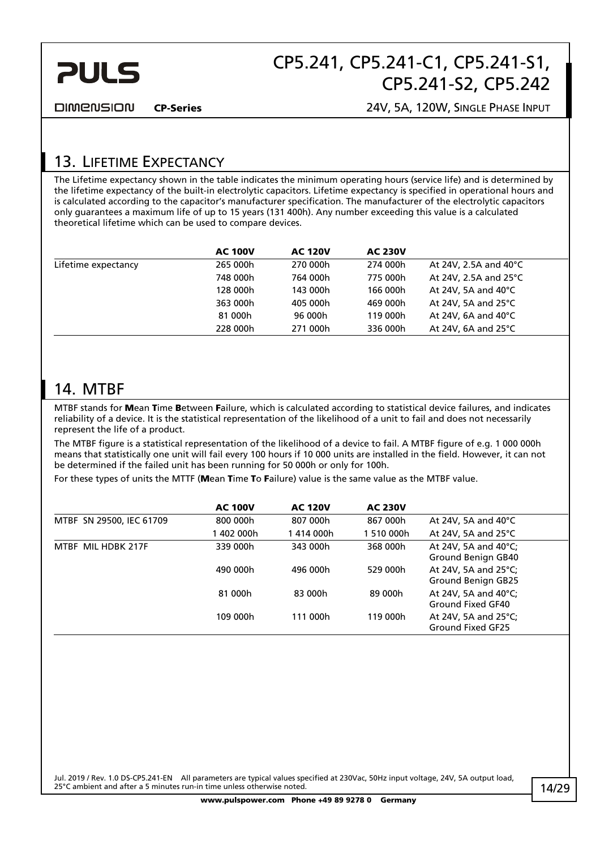

**DIMENSION** 

CP-Series 24V, 5A, 120W, SINGLE PHASE INPUT

### 13. LIFETIME EXPECTANCY

The Lifetime expectancy shown in the table indicates the minimum operating hours (service life) and is determined by the lifetime expectancy of the built-in electrolytic capacitors. Lifetime expectancy is specified in operational hours and is calculated according to the capacitor's manufacturer specification. The manufacturer of the electrolytic capacitors only guarantees a maximum life of up to 15 years (131 400h). Any number exceeding this value is a calculated theoretical lifetime which can be used to compare devices.

|                     | <b>AC 100V</b> | <b>AC 120V</b> | <b>AC 230V</b> |                                 |
|---------------------|----------------|----------------|----------------|---------------------------------|
| Lifetime expectancy | 265 000h       | 270 000h       | 274 000h       | At 24V, 2.5A and $40^{\circ}$ C |
|                     | 748 000h       | 764 000h       | 775 000h       | At 24V, 2.5A and $25^{\circ}$ C |
|                     | 128 000h       | 143 000h       | 166 000h       | At 24V, 5A and $40^{\circ}$ C   |
|                     | 363 000h       | 405 000h       | 469 000h       | At 24V, 5A and $25^{\circ}$ C   |
|                     | 81 000h        | 96 000h        | 119 000h       | At 24V, 6A and $40^{\circ}$ C   |
|                     | 228 000h       | 271 000h       | 336 000h       | At 24V, 6A and $25^{\circ}$ C   |

### 14. MTBF

MTBF stands for Mean Time Between Failure, which is calculated according to statistical device failures, and indicates reliability of a device. It is the statistical representation of the likelihood of a unit to fail and does not necessarily represent the life of a product.

The MTBF figure is a statistical representation of the likelihood of a device to fail. A MTBF figure of e.g. 1 000 000h means that statistically one unit will fail every 100 hours if 10 000 units are installed in the field. However, it can not be determined if the failed unit has been running for 50 000h or only for 100h.

For these types of units the MTTF (Mean Time To Failure) value is the same value as the MTBF value.

|                          | <b>AC 100V</b> | <b>AC 120V</b> | <b>AC 230V</b> |                                            |
|--------------------------|----------------|----------------|----------------|--------------------------------------------|
| MTBF SN 29500, IEC 61709 | 800 000h       | 807 000h       | 867 000h       | At 24V, 5A and $40^{\circ}$ C              |
|                          | 402 000h       | 1414 000h      | 1 510 000h     | At 24V, 5A and $25^{\circ}$ C              |
| MTBF MIL HDBK 217F       | 339 000h       | 343 000h       | 368 000h       | At 24V, 5A and 40°C;<br>Ground Benign GB40 |
|                          | 490 000h       | 496 000h       | 529 000h       | At 24V, 5A and 25°C;<br>Ground Benign GB25 |
|                          | 81 000h        | 83 000h        | 89 000h        | At 24V, 5A and 40°C;<br>Ground Fixed GF40  |
|                          | 109 000h       | 111 000h       | 119 000h       | At 24V, 5A and 25°C;<br>Ground Fixed GF25  |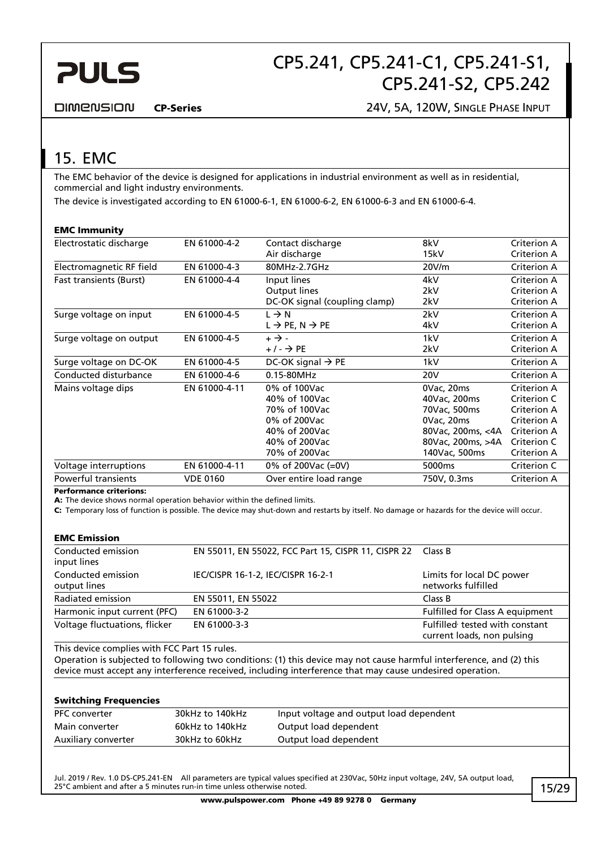

**DIMENSION** 

CP-Series 24V, 5A, 120W, SINGLE PHASE INPUT

# 15. EMC

The EMC behavior of the device is designed for applications in industrial environment as well as in residential, commercial and light industry environments.

The device is investigated according to EN 61000-6-1, EN 61000-6-2, EN 61000-6-3 and EN 61000-6-4.

#### EMC Immunity

| Electrostatic discharge        | EN 61000-4-2    | Contact discharge                    | 8kV               | Criterion A        |
|--------------------------------|-----------------|--------------------------------------|-------------------|--------------------|
|                                |                 | Air discharge                        | 15kV              | Criterion A        |
| Electromagnetic RF field       | EN 61000-4-3    | 80MHz-2.7GHz                         | 20V/m             | Criterion A        |
| <b>Fast transients (Burst)</b> | EN 61000-4-4    | Input lines                          | 4kV               | Criterion A        |
|                                |                 | Output lines                         | 2kV               | Criterion A        |
|                                |                 | DC-OK signal (coupling clamp)        | 2kV               | Criterion A        |
| Surge voltage on input         | EN 61000-4-5    | $L \rightarrow N$                    | 2kV               | Criterion A        |
|                                |                 | $L \rightarrow PE, N \rightarrow PE$ | 4kV               | Criterion A        |
| Surge voltage on output        | EN 61000-4-5    | $+ \rightarrow -$                    | 1kV               | Criterion A        |
|                                |                 | $+/ \rightarrow$ PE                  | 2kV               | Criterion A        |
| Surge voltage on DC-OK         | EN 61000-4-5    | DC-OK signal $\rightarrow$ PE        | 1kV               | Criterion A        |
| Conducted disturbance          | EN 61000-4-6    | 0.15-80MHz                           | 20V               | Criterion A        |
| Mains voltage dips             | EN 61000-4-11   | 0% of 100Vac                         | 0Vac, 20ms        | Criterion A        |
|                                |                 | 40% of 100Vac                        | 40Vac, 200ms      | Criterion C        |
|                                |                 | 70% of 100Vac                        | 70Vac, 500ms      | Criterion A        |
|                                |                 | 0% of 200Vac                         | 0Vac, 20ms        | Criterion A        |
|                                |                 | 40% of 200Vac                        | 80Vac, 200ms, <4A | <b>Criterion A</b> |
|                                |                 | 40% of 200Vac                        | 80Vac, 200ms, >4A | Criterion C        |
|                                |                 | 70% of 200Vac                        | 140Vac, 500ms     | Criterion A        |
| Voltage interruptions          | EN 61000-4-11   | 0% of 200Vac (=0V)                   | 5000ms            | Criterion C        |
| <b>Powerful transients</b>     | <b>VDE 0160</b> | Over entire load range               | 750V, 0.3ms       | Criterion A        |
|                                |                 |                                      |                   |                    |

Performance criterions:

A: The device shows normal operation behavior within the defined limits.

C: Temporary loss of function is possible. The device may shut-down and restarts by itself. No damage or hazards for the device will occur.

#### EMC Emission

| Conducted emission<br>input lines  | EN 55011, EN 55022, FCC Part 15, CISPR 11, CISPR 22 Class B |                                                              |
|------------------------------------|-------------------------------------------------------------|--------------------------------------------------------------|
| Conducted emission<br>output lines | IEC/CISPR 16-1-2, IEC/CISPR 16-2-1                          | Limits for local DC power<br>networks fulfilled              |
| Radiated emission                  | EN 55011, EN 55022                                          | Class B                                                      |
| Harmonic input current (PFC)       | EN 61000-3-2                                                | Fulfilled for Class A equipment                              |
| Voltage fluctuations, flicker      | EN 61000-3-3                                                | Fulfilled tested with constant<br>current loads, non pulsing |

This device complies with FCC Part 15 rules.

Operation is subjected to following two conditions: (1) this device may not cause harmful interference, and (2) this device must accept any interference received, including interference that may cause undesired operation.

#### Switching Frequencies

| <b>PFC</b> converter | 30kHz to 140kHz | Input voltage and output load dependent |
|----------------------|-----------------|-----------------------------------------|
| Main converter       | 60kHz to 140kHz | Output load dependent                   |
| Auxiliary converter  | 30kHz to 60kHz  | Output load dependent                   |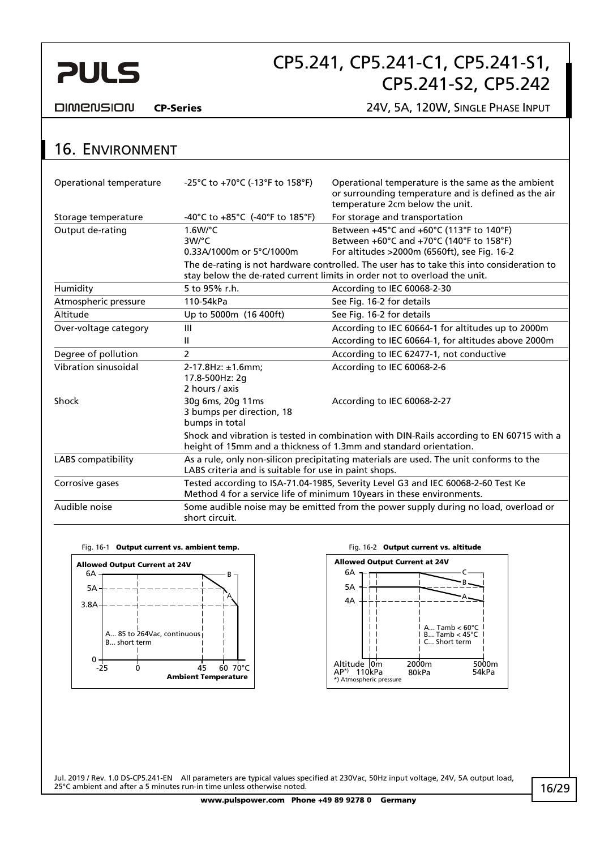# **PULS**

# CP5.241, CP5.241-C1, CP5.241-S1, CP5.241-S2, CP5.242

**DIMENSION** 

CP-Series 24V, 5A, 120W, SINGLE PHASE INPUT

# 16. ENVIRONMENT

| Operational temperature | -25°C to +70°C (-13°F to 158°F)                                                                                                                 | Operational temperature is the same as the ambient<br>or surrounding temperature and is defined as the air<br>temperature 2cm below the unit.                                                                                     |  |
|-------------------------|-------------------------------------------------------------------------------------------------------------------------------------------------|-----------------------------------------------------------------------------------------------------------------------------------------------------------------------------------------------------------------------------------|--|
| Storage temperature     | -40°C to +85°C (-40°F to 185°F)                                                                                                                 | For storage and transportation                                                                                                                                                                                                    |  |
| Output de-rating        | $1.6$ W/ $^{\circ}$ C<br>3W/°C<br>0.33A/1000m or 5°C/1000m                                                                                      | Between +45°C and +60°C (113°F to 140°F)<br>Between +60°C and +70°C (140°F to 158°F)<br>For altitudes >2000m (6560ft), see Fig. 16-2<br>The de-rating is not hardware controlled. The user has to take this into consideration to |  |
|                         |                                                                                                                                                 | stay below the de-rated current limits in order not to overload the unit.                                                                                                                                                         |  |
| Humidity                | 5 to 95% r.h.                                                                                                                                   | According to IEC 60068-2-30                                                                                                                                                                                                       |  |
| Atmospheric pressure    | 110-54kPa                                                                                                                                       | See Fig. 16-2 for details                                                                                                                                                                                                         |  |
| Altitude                | Up to 5000m (16 400ft)                                                                                                                          | See Fig. 16-2 for details                                                                                                                                                                                                         |  |
| Over-voltage category   | Ш                                                                                                                                               | According to IEC 60664-1 for altitudes up to 2000m                                                                                                                                                                                |  |
|                         | Ш                                                                                                                                               | According to IEC 60664-1, for altitudes above 2000m                                                                                                                                                                               |  |
| Degree of pollution     | $\mathcal{P}$                                                                                                                                   | According to IEC 62477-1, not conductive                                                                                                                                                                                          |  |
| Vibration sinusoidal    | $2-17.8$ Hz: $\pm 1.6$ mm;<br>17.8-500Hz: 2q<br>2 hours / axis                                                                                  | According to IEC 60068-2-6                                                                                                                                                                                                        |  |
| Shock                   | 30g 6ms, 20g 11ms<br>3 bumps per direction, 18<br>bumps in total                                                                                | According to IEC 60068-2-27                                                                                                                                                                                                       |  |
|                         |                                                                                                                                                 | Shock and vibration is tested in combination with DIN-Rails according to EN 60715 with a<br>height of 15mm and a thickness of 1.3mm and standard orientation.                                                                     |  |
| LABS compatibility      | As a rule, only non-silicon precipitating materials are used. The unit conforms to the<br>LABS criteria and is suitable for use in paint shops. |                                                                                                                                                                                                                                   |  |
| Corrosive gases         |                                                                                                                                                 | Tested according to ISA-71.04-1985, Severity Level G3 and IEC 60068-2-60 Test Ke<br>Method 4 for a service life of minimum 10years in these environments.                                                                         |  |
| Audible noise           | Some audible noise may be emitted from the power supply during no load, overload or<br>short circuit.                                           |                                                                                                                                                                                                                                   |  |



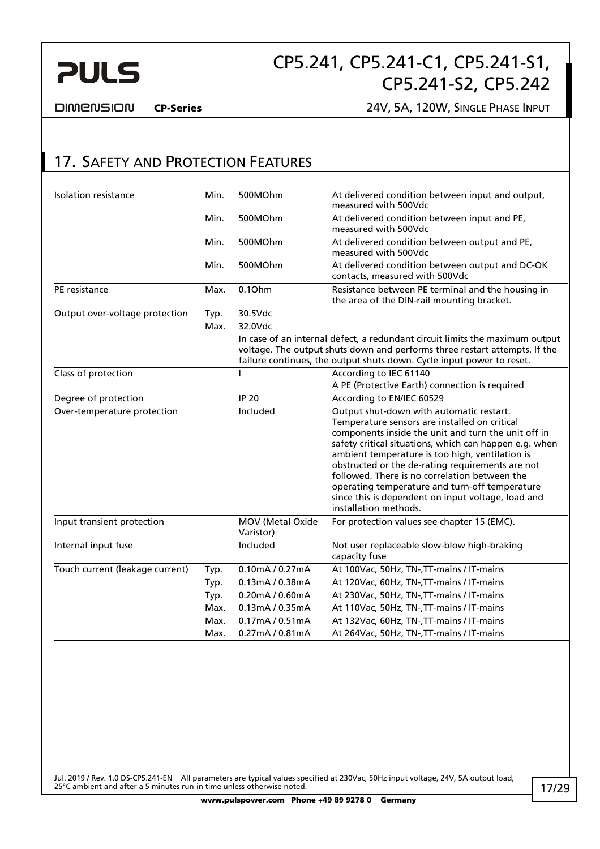

**DIMENSION** 

CP-Series 24V, 5A, 120W, SINGLE PHASE INPUT

### 17. SAFETY AND PROTECTION FEATURES

| <b>Isolation resistance</b>     | Min. | 500MOhm                       | At delivered condition between input and output,<br>measured with 500Vdc                                                                                                                                                                                                                                                                                                                                                                                                                            |
|---------------------------------|------|-------------------------------|-----------------------------------------------------------------------------------------------------------------------------------------------------------------------------------------------------------------------------------------------------------------------------------------------------------------------------------------------------------------------------------------------------------------------------------------------------------------------------------------------------|
|                                 | Min. | 500MOhm                       | At delivered condition between input and PE,<br>measured with 500Vdc                                                                                                                                                                                                                                                                                                                                                                                                                                |
|                                 | Min. | 500MOhm                       | At delivered condition between output and PE,<br>measured with 500Vdc                                                                                                                                                                                                                                                                                                                                                                                                                               |
|                                 | Min. | 500MOhm                       | At delivered condition between output and DC-OK<br>contacts, measured with 500Vdc                                                                                                                                                                                                                                                                                                                                                                                                                   |
| PE resistance                   | Max. | 0.1Ohm                        | Resistance between PE terminal and the housing in<br>the area of the DIN-rail mounting bracket.                                                                                                                                                                                                                                                                                                                                                                                                     |
| Output over-voltage protection  | Typ. | 30.5Vdc                       |                                                                                                                                                                                                                                                                                                                                                                                                                                                                                                     |
|                                 | Max. | 32.0Vdc                       |                                                                                                                                                                                                                                                                                                                                                                                                                                                                                                     |
|                                 |      |                               | In case of an internal defect, a redundant circuit limits the maximum output<br>voltage. The output shuts down and performs three restart attempts. If the<br>failure continues, the output shuts down. Cycle input power to reset.                                                                                                                                                                                                                                                                 |
| Class of protection             |      |                               | According to IEC 61140                                                                                                                                                                                                                                                                                                                                                                                                                                                                              |
|                                 |      |                               | A PE (Protective Earth) connection is required                                                                                                                                                                                                                                                                                                                                                                                                                                                      |
| Degree of protection            |      | <b>IP 20</b>                  | According to EN/IEC 60529                                                                                                                                                                                                                                                                                                                                                                                                                                                                           |
| Over-temperature protection     |      | Included                      | Output shut-down with automatic restart.<br>Temperature sensors are installed on critical<br>components inside the unit and turn the unit off in<br>safety critical situations, which can happen e.g. when<br>ambient temperature is too high, ventilation is<br>obstructed or the de-rating requirements are not<br>followed. There is no correlation between the<br>operating temperature and turn-off temperature<br>since this is dependent on input voltage, load and<br>installation methods. |
| Input transient protection      |      | MOV (Metal Oxide<br>Varistor) | For protection values see chapter 15 (EMC).                                                                                                                                                                                                                                                                                                                                                                                                                                                         |
| Internal input fuse             |      | Included                      | Not user replaceable slow-blow high-braking<br>capacity fuse                                                                                                                                                                                                                                                                                                                                                                                                                                        |
| Touch current (leakage current) | Typ. | 0.10mA / 0.27mA               | At 100Vac, 50Hz, TN-, TT-mains / IT-mains                                                                                                                                                                                                                                                                                                                                                                                                                                                           |
|                                 | Typ. | 0.13mA / 0.38mA               | At 120Vac, 60Hz, TN-, TT-mains / IT-mains                                                                                                                                                                                                                                                                                                                                                                                                                                                           |
|                                 | Typ. | 0.20mA / 0.60mA               | At 230Vac, 50Hz, TN-, TT-mains / IT-mains                                                                                                                                                                                                                                                                                                                                                                                                                                                           |
|                                 | Max. | 0.13mA / 0.35mA               | At 110Vac, 50Hz, TN-, TT-mains / IT-mains                                                                                                                                                                                                                                                                                                                                                                                                                                                           |
|                                 | Max. | 0.17mA / 0.51mA               | At 132Vac, 60Hz, TN-, TT-mains / IT-mains                                                                                                                                                                                                                                                                                                                                                                                                                                                           |
|                                 | Max. | 0.27mA / 0.81mA               | At 264Vac, 50Hz, TN-, TT-mains / IT-mains                                                                                                                                                                                                                                                                                                                                                                                                                                                           |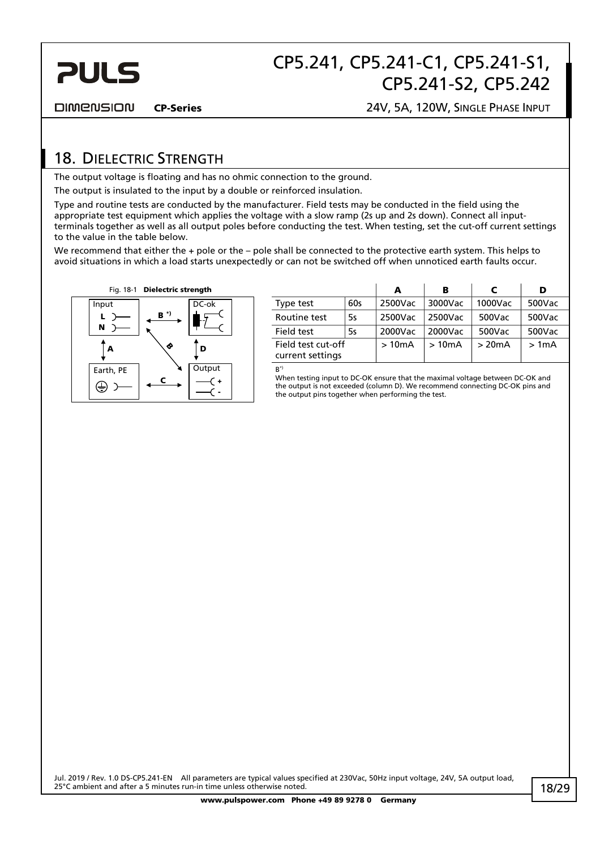

**DIMENSION** 

CP-Series 24V, 5A, 120W, SINGLE PHASE INPUT

### 18. DIELECTRIC STRENGTH

The output voltage is floating and has no ohmic connection to the ground.

The output is insulated to the input by a double or reinforced insulation.

Type and routine tests are conducted by the manufacturer. Field tests may be conducted in the field using the appropriate test equipment which applies the voltage with a slow ramp (2s up and 2s down). Connect all inputterminals together as well as all output poles before conducting the test. When testing, set the cut-off current settings to the value in the table below.

We recommend that either the + pole or the – pole shall be connected to the protective earth system. This helps to avoid situations in which a load starts unexpectedly or can not be switched off when unnoticed earth faults occur.



| Fig. 18-1 | <b>Dielectric strength</b> |       |                                        |     |         | в       |         |        |  |
|-----------|----------------------------|-------|----------------------------------------|-----|---------|---------|---------|--------|--|
| ıt        |                            | DC-ok | Type test                              | 60s | 2500Vac | 3000Vac | 1000Vac | 500Vac |  |
|           | $B^{\star}$                |       | Routine test                           | 5s  | 2500Vac | 2500Vac | 500Vac  | 500Vac |  |
|           |                            |       | Field test                             | 5s  | 2000Vac | 2000Vac | 500Vac  | 500Vac |  |
| A         |                            | D     | Field test cut-off<br>current settings |     | >10mA   | >10mA   | >20mA   | >1mA   |  |
|           |                            |       |                                        |     |         |         |         |        |  |

 $R^*$ 

When testing input to DC-OK ensure that the maximal voltage between DC-OK and the output is not exceeded (column D). We recommend connecting DC-OK pins and the output pins together when performing the test.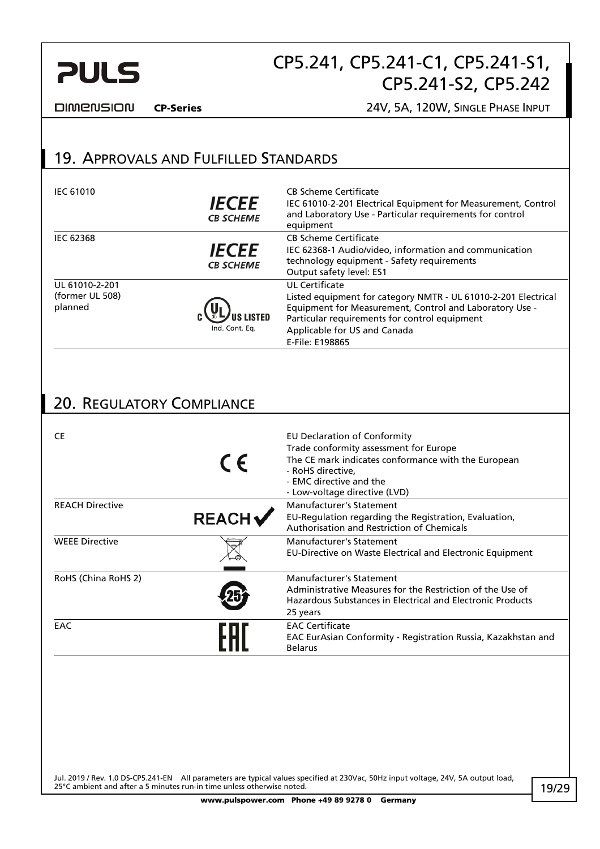

**DIMENSION** 

CP-Series 24V, 5A, 120W, SINGLE PHASE INPUT

### 19. APPROVALS AND FULFILLED STANDARDS

| <b>IEC 61010</b>                             | <i><b>IECEE</b></i><br><b>CB SCHEME</b> | <b>CB Scheme Certificate</b><br>IEC 61010-2-201 Electrical Equipment for Measurement, Control<br>and Laboratory Use - Particular requirements for control<br>equipment                                                                          |
|----------------------------------------------|-----------------------------------------|-------------------------------------------------------------------------------------------------------------------------------------------------------------------------------------------------------------------------------------------------|
| <b>IEC 62368</b>                             | <b>IECEE</b><br><b>CB SCHEME</b>        | <b>CB Scheme Certificate</b><br>IEC 62368-1 Audio/video, information and communication<br>technology equipment - Safety requirements<br>Output safety level: ES1                                                                                |
| UL 61010-2-201<br>(former UL 508)<br>planned | Ind. Cont. Eq.                          | UL Certificate<br>Listed equipment for category NMTR - UL 61010-2-201 Electrical<br>Equipment for Measurement, Control and Laboratory Use -<br>Particular requirements for control equipment<br>Applicable for US and Canada<br>E-File: E198865 |

### 20. REGULATORY COMPLIANCE

| CE                     | $\epsilon$   | EU Declaration of Conformity<br>Trade conformity assessment for Europe<br>The CE mark indicates conformance with the European<br>- RoHS directive,<br>- EMC directive and the<br>- Low-voltage directive (LVD) |
|------------------------|--------------|----------------------------------------------------------------------------------------------------------------------------------------------------------------------------------------------------------------|
| <b>REACH Directive</b> | <b>REACH</b> | Manufacturer's Statement<br>EU-Regulation regarding the Registration, Evaluation,<br>Authorisation and Restriction of Chemicals                                                                                |
| <b>WEEE Directive</b>  |              | <b>Manufacturer's Statement</b><br>EU-Directive on Waste Electrical and Electronic Equipment                                                                                                                   |
| RoHS (China RoHS 2)    |              | Manufacturer's Statement<br>Administrative Measures for the Restriction of the Use of<br>Hazardous Substances in Electrical and Electronic Products<br>25 years                                                |
| EAC                    |              | <b>EAC Certificate</b><br>EAC EurAsian Conformity - Registration Russia, Kazakhstan and<br><b>Belarus</b>                                                                                                      |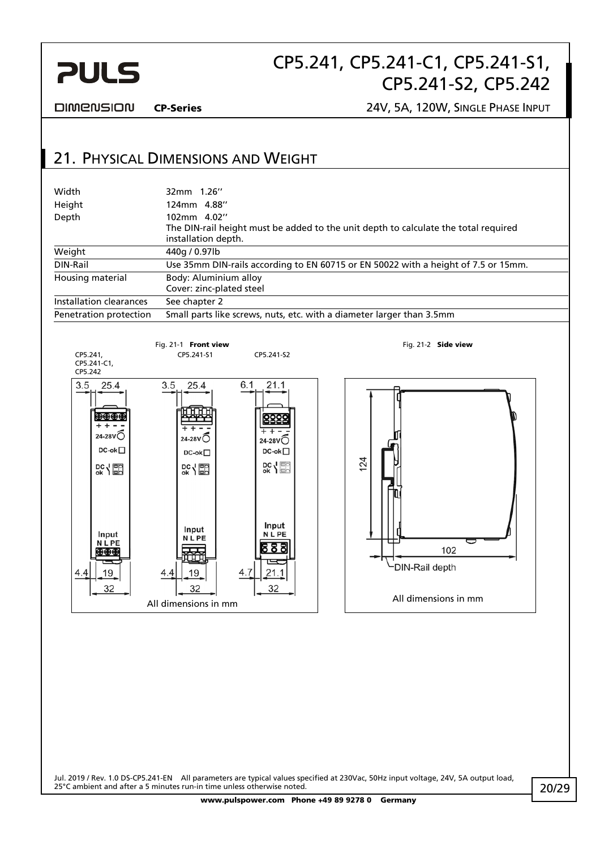

**DIMENSION** 

CP-Series 24V, 5A, 120W, SINGLE PHASE INPUT

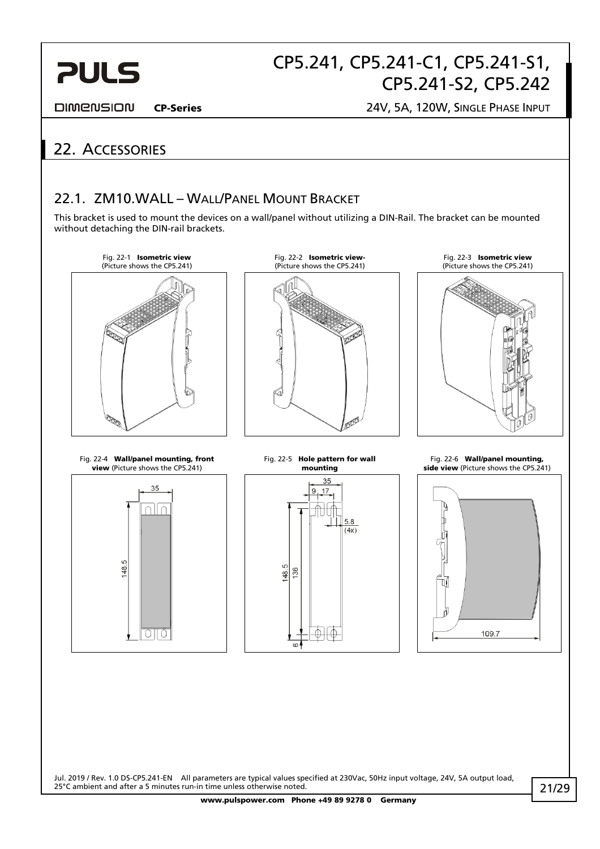

**DIMENSION** 

CP-Series 24V, 5A, 120W, SINGLE PHASE INPUT

# 22. ACCESSORIES

### 22.1. ZM10.WALL – WALL/PANEL MOUNT BRACKET

This bracket is used to mount the devices on a wall/panel without utilizing a DIN-Rail. The bracket can be mounted without detaching the DIN-rail brackets.

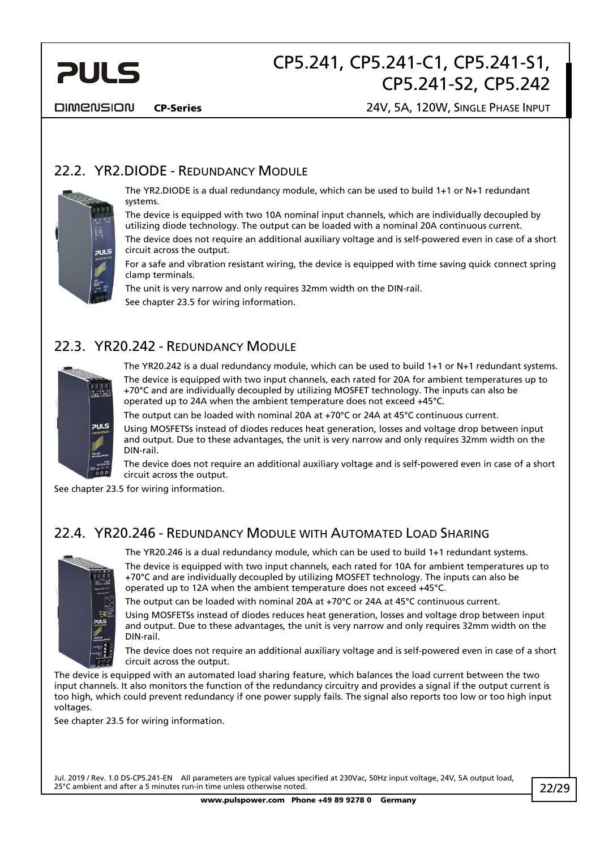

**DIMENSION** 

#### CP-Series 24V, 5A, 120W, SINGLE PHASE INPUT

### 22.2. YR2.DIODE - REDUNDANCY MODULE



The YR2.DIODE is a dual redundancy module, which can be used to build 1+1 or N+1 redundant systems.

The device is equipped with two 10A nominal input channels, which are individually decoupled by utilizing diode technology. The output can be loaded with a nominal 20A continuous current. The device does not require an additional auxiliary voltage and is self-powered even in case of a short circuit across the output.

For a safe and vibration resistant wiring, the device is equipped with time saving quick connect spring clamp terminals.

The unit is very narrow and only requires 32mm width on the DIN-rail. See chapter 23.5 for wiring information.

### 22.3. YR20.242 - REDUNDANCY MODULE



The YR20.242 is a dual redundancy module, which can be used to build 1+1 or N+1 redundant systems.

The device is equipped with two input channels, each rated for 20A for ambient temperatures up to +70°C and are individually decoupled by utilizing MOSFET technology. The inputs can also be operated up to 24A when the ambient temperature does not exceed +45°C.

The output can be loaded with nominal 20A at +70°C or 24A at 45°C continuous current.

Using MOSFETSs instead of diodes reduces heat generation, losses and voltage drop between input and output. Due to these advantages, the unit is very narrow and only requires 32mm width on the DIN-rail.

The device does not require an additional auxiliary voltage and is self-powered even in case of a short circuit across the output.

See chapter 23.5 for wiring information.

### 22.4. YR20.246 - REDUNDANCY MODULE WITH AUTOMATED LOAD SHARING



The YR20.246 is a dual redundancy module, which can be used to build 1+1 redundant systems.

The device is equipped with two input channels, each rated for 10A for ambient temperatures up to +70°C and are individually decoupled by utilizing MOSFET technology. The inputs can also be operated up to 12A when the ambient temperature does not exceed +45°C.

The output can be loaded with nominal 20A at +70°C or 24A at 45°C continuous current.

Using MOSFETSs instead of diodes reduces heat generation, losses and voltage drop between input and output. Due to these advantages, the unit is very narrow and only requires 32mm width on the DIN-rail.

The device does not require an additional auxiliary voltage and is self-powered even in case of a short circuit across the output.

The device is equipped with an automated load sharing feature, which balances the load current between the two input channels. It also monitors the function of the redundancy circuitry and provides a signal if the output current is too high, which could prevent redundancy if one power supply fails. The signal also reports too low or too high input voltages.

See chapter 23.5 for wiring information.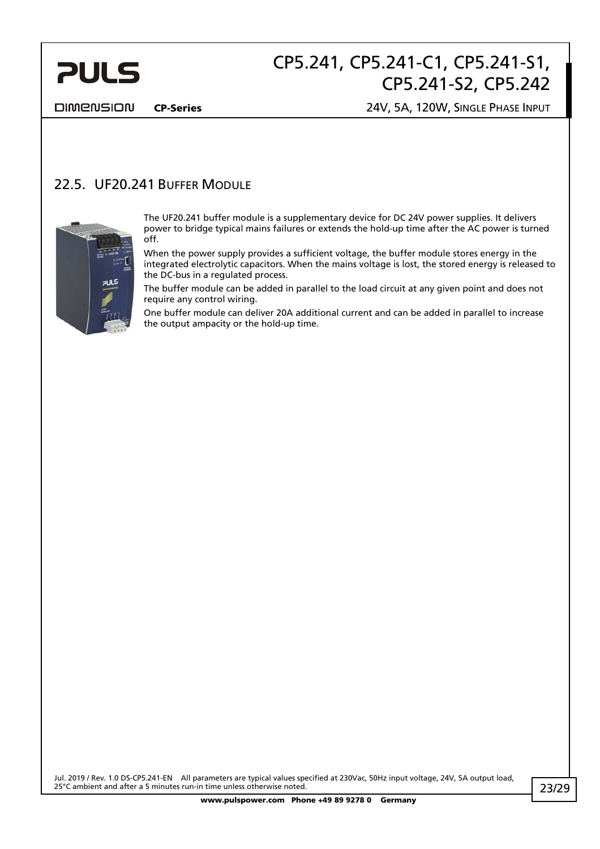

DIMENSION

#### CP-Series 24V, 5A, 120W, SINGLE PHASE INPUT

### 22.5. UF20.241 BUFFER MODULE



The UF20.241 buffer module is a supplementary device for DC 24V power supplies. It delivers power to bridge typical mains failures or extends the hold-up time after the AC power is turned off.

When the power supply provides a sufficient voltage, the buffer module stores energy in the integrated electrolytic capacitors. When the mains voltage is lost, the stored energy is released to the DC-bus in a regulated process.

The buffer module can be added in parallel to the load circuit at any given point and does not require any control wiring.

One buffer module can deliver 20A additional current and can be added in parallel to increase the output ampacity or the hold-up time.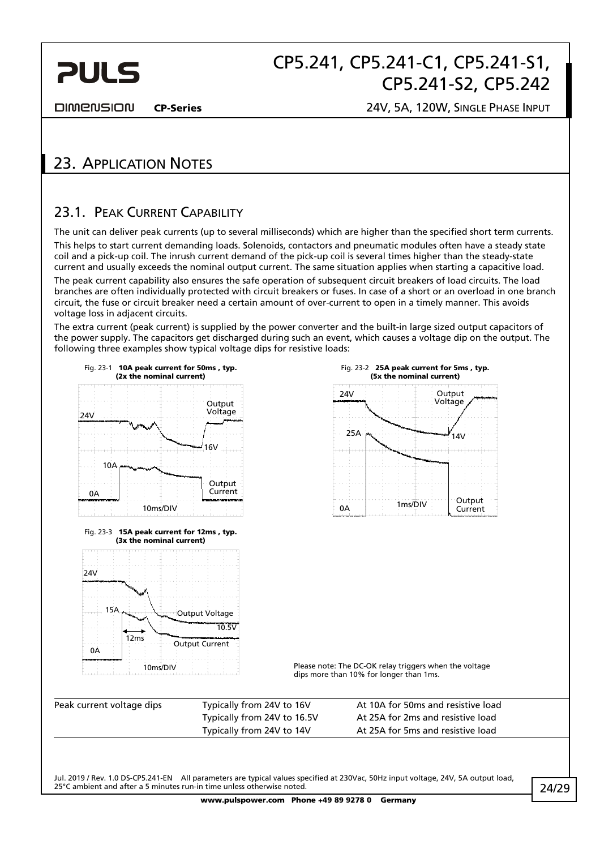

**DIMENSION** 

CP-Series 24V, 5A, 120W, SINGLE PHASE INPUT

## 23. APPLICATION NOTES

### 23.1. PEAK CURRENT CAPABILITY

The unit can deliver peak currents (up to several milliseconds) which are higher than the specified short term currents. This helps to start current demanding loads. Solenoids, contactors and pneumatic modules often have a steady state coil and a pick-up coil. The inrush current demand of the pick-up coil is several times higher than the steady-state current and usually exceeds the nominal output current. The same situation applies when starting a capacitive load. The peak current capability also ensures the safe operation of subsequent circuit breakers of load circuits. The load branches are often individually protected with circuit breakers or fuses. In case of a short or an overload in one branch circuit, the fuse or circuit breaker need a certain amount of over-current to open in a timely manner. This avoids voltage loss in adjacent circuits.

The extra current (peak current) is supplied by the power converter and the built-in large sized output capacitors of the power supply. The capacitors get discharged during such an event, which causes a voltage dip on the output. The following three examples show typical voltage dips for resistive loads:

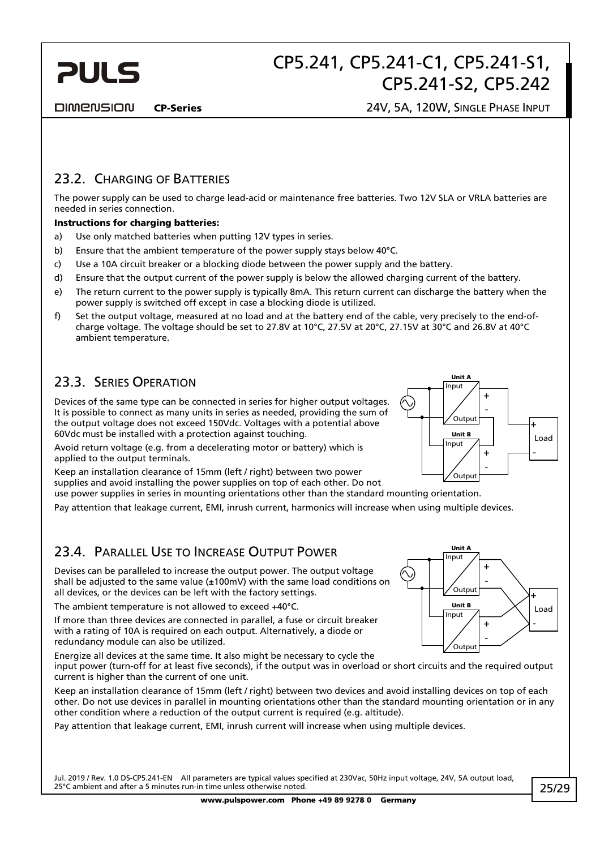

**DIMENSION** 

### 23.2. CHARGING OF BATTERIES

The power supply can be used to charge lead-acid or maintenance free batteries. Two 12V SLA or VRLA batteries are needed in series connection.

#### Instructions for charging batteries:

- a) Use only matched batteries when putting 12V types in series.
- b) Ensure that the ambient temperature of the power supply stays below 40°C.
- c) Use a 10A circuit breaker or a blocking diode between the power supply and the battery.
- d) Ensure that the output current of the power supply is below the allowed charging current of the battery.
- e) The return current to the power supply is typically 8mA. This return current can discharge the battery when the power supply is switched off except in case a blocking diode is utilized.
- f) Set the output voltage, measured at no load and at the battery end of the cable, very precisely to the end-ofcharge voltage. The voltage should be set to 27.8V at 10°C, 27.5V at 20°C, 27.15V at 30°C and 26.8V at 40°C ambient temperature.

### 23.3. SERIES OPERATION

Devices of the same type can be connected in series for higher output voltages. It is possible to connect as many units in series as needed, providing the sum of the output voltage does not exceed 150Vdc. Voltages with a potential above 60Vdc must be installed with a protection against touching.

Avoid return voltage (e.g. from a decelerating motor or battery) which is applied to the output terminals.

Keep an installation clearance of 15mm (left / right) between two power supplies and avoid installing the power supplies on top of each other. Do not use power supplies in series in mounting orientations other than the standard mounting orientation.

Pay attention that leakage current, EMI, inrush current, harmonics will increase when using multiple devices.

### 23.4. PARALLEL USE TO INCREASE OUTPUT POWER

Devises can be paralleled to increase the output power. The output voltage shall be adjusted to the same value  $(\pm 100 \text{mV})$  with the same load conditions on all devices, or the devices can be left with the factory settings.

The ambient temperature is not allowed to exceed +40°C.

If more than three devices are connected in parallel, a fuse or circuit breaker with a rating of 10A is required on each output. Alternatively, a diode or redundancy module can also be utilized.



Keep an installation clearance of 15mm (left / right) between two devices and avoid installing devices on top of each other. Do not use devices in parallel in mounting orientations other than the standard mounting orientation or in any other condition where a reduction of the output current is required (e.g. altitude).

Pay attention that leakage current, EMI, inrush current will increase when using multiple devices.

Jul. 2019 / Rev. 1.0 DS-CP5.241-EN All parameters are typical values specified at 230Vac, 50Hz input voltage, 24V, 5A output load, 25°C ambient and after a 5 minutes run-in time unless otherwise noted.



Unit A

Input

Unit B

Input

.<br>Output

Output

-

+

+ -

Load +

-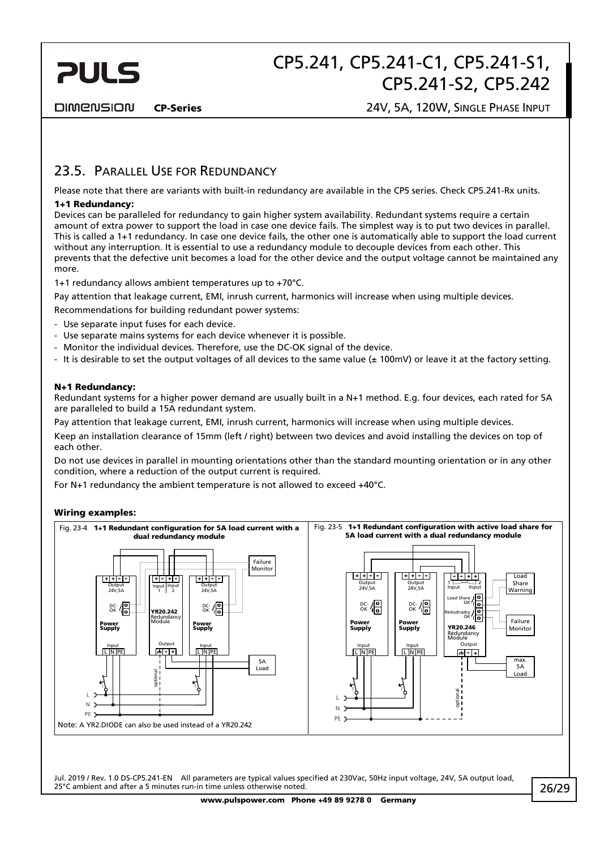

**DIMENSION** 

### 23.5. PARALLEL USE FOR REDUNDANCY

Please note that there are variants with built-in redundancy are available in the CP5 series. Check CP5.241-Rx units.

#### 1+1 Redundancy:

Devices can be paralleled for redundancy to gain higher system availability. Redundant systems require a certain amount of extra power to support the load in case one device fails. The simplest way is to put two devices in parallel. This is called a 1+1 redundancy. In case one device fails, the other one is automatically able to support the load current without any interruption. It is essential to use a redundancy module to decouple devices from each other. This prevents that the defective unit becomes a load for the other device and the output voltage cannot be maintained any more.

1+1 redundancy allows ambient temperatures up to +70°C.

Pay attention that leakage current, EMI, inrush current, harmonics will increase when using multiple devices.

Recommendations for building redundant power systems:

- Use separate input fuses for each device.
- Use separate mains systems for each device whenever it is possible.
- Monitor the individual devices. Therefore, use the DC-OK signal of the device.
- It is desirable to set the output voltages of all devices to the same value ( $\pm$  100mV) or leave it at the factory setting.

#### N+1 Redundancy:

Redundant systems for a higher power demand are usually built in a N+1 method. E.g. four devices, each rated for 5A are paralleled to build a 15A redundant system.

Pay attention that leakage current, EMI, inrush current, harmonics will increase when using multiple devices.

Keep an installation clearance of 15mm (left / right) between two devices and avoid installing the devices on top of each other.

Do not use devices in parallel in mounting orientations other than the standard mounting orientation or in any other condition, where a reduction of the output current is required.

For N+1 redundancy the ambient temperature is not allowed to exceed +40°C.

#### Wiring examples:

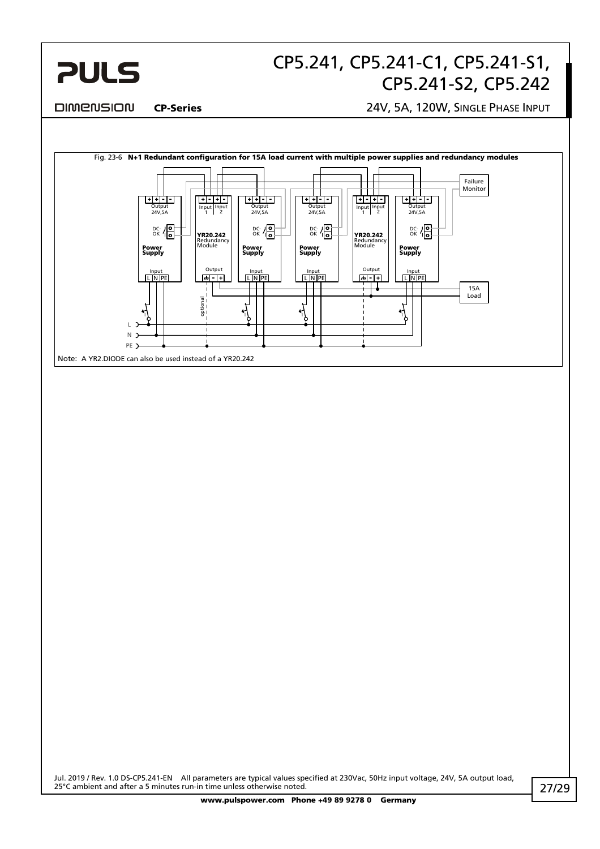

#### **DIMENSION**

#### CP-Series 24V, 5A, 120W, SINGLE PHASE INPUT

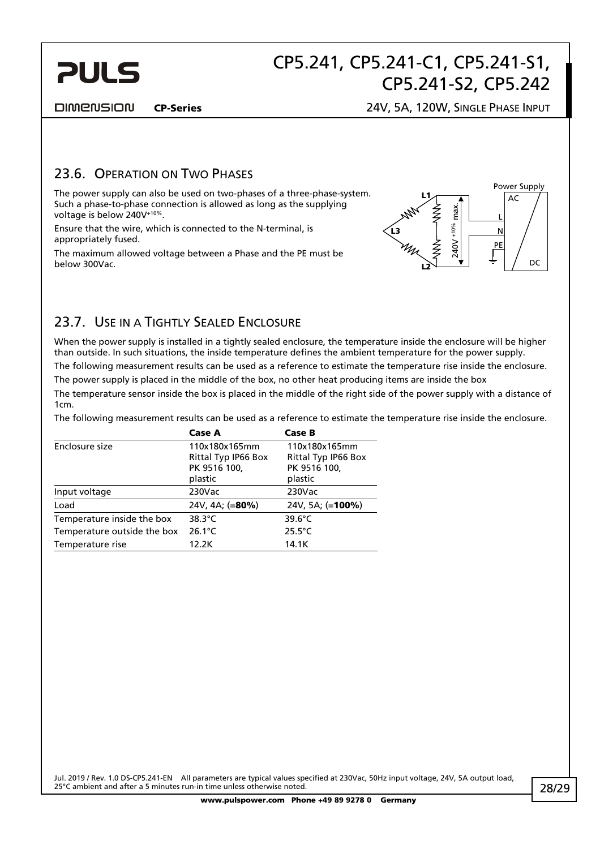

**DIMENSION** 

#### CP-Series 24V, 5A, 120W, SINGLE PHASE INPUT

### 23.6. OPERATION ON TWO PHASES

The power supply can also be used on two-phases of a three-phase-system. Such a phase-to-phase connection is allowed as long as the supplying voltage is below 240V+10%.



### 23.7. USE IN A TIGHTLY SEALED ENCLOSURE

When the power supply is installed in a tightly sealed enclosure, the temperature inside the enclosure will be higher than outside. In such situations, the inside temperature defines the ambient temperature for the power supply.

The following measurement results can be used as a reference to estimate the temperature rise inside the enclosure.

The power supply is placed in the middle of the box, no other heat producing items are inside the box

The temperature sensor inside the box is placed in the middle of the right side of the power supply with a distance of 1cm.

The following measurement results can be used as a reference to estimate the temperature rise inside the enclosure.

| Such a phase-to-phase connection is allowed as long as the supplying<br>voltage is below 240V <sup>+10%</sup> .                                                                                                                                                                                                                                                                                                                                                                                                     |                                                                 |                                                                 | Ź                             |
|---------------------------------------------------------------------------------------------------------------------------------------------------------------------------------------------------------------------------------------------------------------------------------------------------------------------------------------------------------------------------------------------------------------------------------------------------------------------------------------------------------------------|-----------------------------------------------------------------|-----------------------------------------------------------------|-------------------------------|
| Ensure that the wire, which is connected to the N-terminal, is<br>appropriately fused.                                                                                                                                                                                                                                                                                                                                                                                                                              |                                                                 |                                                                 | $240V + 10%$ max<br><b>LB</b> |
| The maximum allowed voltage between a Phase and the PE must be<br>below 300Vac.                                                                                                                                                                                                                                                                                                                                                                                                                                     |                                                                 |                                                                 |                               |
| 23.7. USE IN A TIGHTLY SEALED ENCLOSURE                                                                                                                                                                                                                                                                                                                                                                                                                                                                             |                                                                 |                                                                 |                               |
| When the power supply is installed in a tightly sealed enclosure, the temperature inside the eno<br>than outside. In such situations, the inside temperature defines the ambient temperature for th<br>The following measurement results can be used as a reference to estimate the temperature rise<br>The power supply is placed in the middle of the box, no other heat producing items are inside t<br>The temperature sensor inside the box is placed in the middle of the right side of the power sup<br>1cm. |                                                                 |                                                                 |                               |
| The following measurement results can be used as a reference to estimate the temperature rise                                                                                                                                                                                                                                                                                                                                                                                                                       |                                                                 |                                                                 |                               |
|                                                                                                                                                                                                                                                                                                                                                                                                                                                                                                                     | Case A                                                          | Case B                                                          |                               |
| Enclosure size                                                                                                                                                                                                                                                                                                                                                                                                                                                                                                      | 110x180x165mm<br>Rittal Typ IP66 Box<br>PK 9516 100,<br>plastic | 110x180x165mm<br>Rittal Typ IP66 Box<br>PK 9516 100,<br>plastic |                               |
| Input voltage                                                                                                                                                                                                                                                                                                                                                                                                                                                                                                       | 230Vac                                                          | 230Vac                                                          |                               |
| Load                                                                                                                                                                                                                                                                                                                                                                                                                                                                                                                | 24V, 4A; (=80%)                                                 | 24V, 5A; (=100%)                                                |                               |
| Temperature inside the box                                                                                                                                                                                                                                                                                                                                                                                                                                                                                          | 38.3°C                                                          | 39.6°C                                                          |                               |
| Temperature outside the box                                                                                                                                                                                                                                                                                                                                                                                                                                                                                         | $26.1^{\circ}$ C                                                | $25.5^{\circ}$ C                                                |                               |
| Temperature rise                                                                                                                                                                                                                                                                                                                                                                                                                                                                                                    | 12.2K                                                           | 14.1K                                                           |                               |